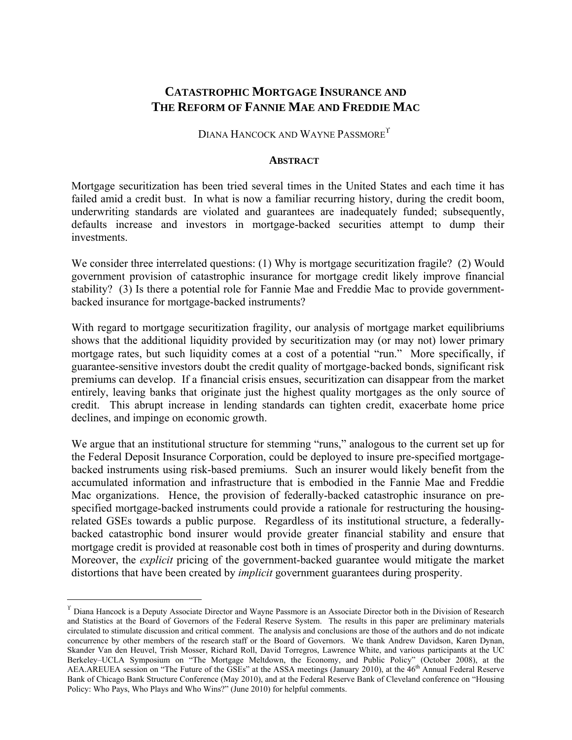## **CATASTROPHIC MORTGAGE INSURANCE AND THE REFORM OF FANNIE MAE AND FREDDIE MAC**

DIANA HANCOCK AND WAYNE PASSMORE

#### **ABSTRACT**

Mortgage securitization has been tried several times in the United States and each time it has failed amid a credit bust. In what is now a familiar recurring history, during the credit boom, underwriting standards are violated and guarantees are inadequately funded; subsequently, defaults increase and investors in mortgage-backed securities attempt to dump their investments.

We consider three interrelated questions: (1) Why is mortgage securitization fragile? (2) Would government provision of catastrophic insurance for mortgage credit likely improve financial stability? (3) Is there a potential role for Fannie Mae and Freddie Mac to provide governmentbacked insurance for mortgage-backed instruments?

With regard to mortgage securitization fragility, our analysis of mortgage market equilibriums shows that the additional liquidity provided by securitization may (or may not) lower primary mortgage rates, but such liquidity comes at a cost of a potential "run." More specifically, if guarantee-sensitive investors doubt the credit quality of mortgage-backed bonds, significant risk premiums can develop. If a financial crisis ensues, securitization can disappear from the market entirely, leaving banks that originate just the highest quality mortgages as the only source of credit. This abrupt increase in lending standards can tighten credit, exacerbate home price declines, and impinge on economic growth.

We argue that an institutional structure for stemming "runs," analogous to the current set up for the Federal Deposit Insurance Corporation, could be deployed to insure pre-specified mortgagebacked instruments using risk-based premiums. Such an insurer would likely benefit from the accumulated information and infrastructure that is embodied in the Fannie Mae and Freddie Mac organizations. Hence, the provision of federally-backed catastrophic insurance on prespecified mortgage-backed instruments could provide a rationale for restructuring the housingrelated GSEs towards a public purpose. Regardless of its institutional structure, a federallybacked catastrophic bond insurer would provide greater financial stability and ensure that mortgage credit is provided at reasonable cost both in times of prosperity and during downturns. Moreover, the *explicit* pricing of the government-backed guarantee would mitigate the market distortions that have been created by *implicit* government guarantees during prosperity.

 $\Gamma$  Diana Hancock is a Deputy Associate Director and Wayne Passmore is an Associate Director both in the Division of Research and Statistics at the Board of Governors of the Federal Reserve System. The results in this paper are preliminary materials circulated to stimulate discussion and critical comment. The analysis and conclusions are those of the authors and do not indicate concurrence by other members of the research staff or the Board of Governors. We thank Andrew Davidson, Karen Dynan, Skander Van den Heuvel, Trish Mosser, Richard Roll, David Torregros, Lawrence White, and various participants at the UC Berkeley–UCLA Symposium on "The Mortgage Meltdown, the Economy, and Public Policy" (October 2008), at the AEA.AREUEA session on "The Future of the GSEs" at the ASSA meetings (January 2010), at the  $46<sup>th</sup>$  Annual Federal Reserve Bank of Chicago Bank Structure Conference (May 2010), and at the Federal Reserve Bank of Cleveland conference on "Housing Policy: Who Pays, Who Plays and Who Wins?" (June 2010) for helpful comments.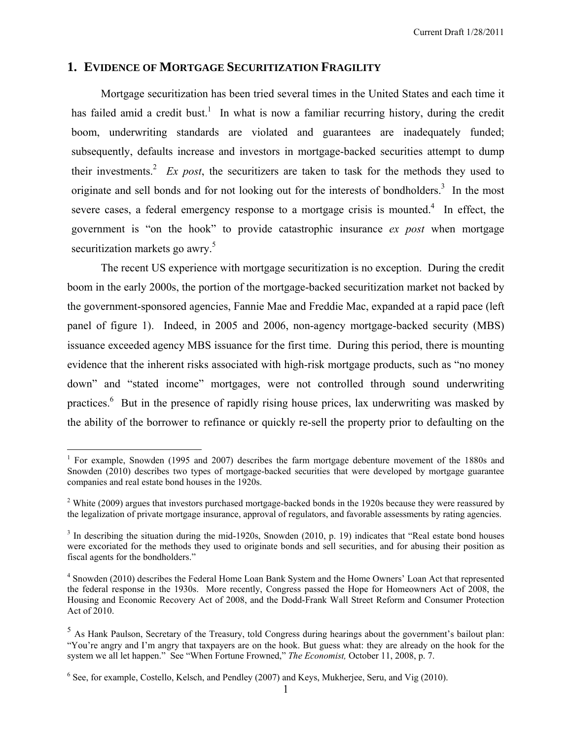## **1. EVIDENCE OF MORTGAGE SECURITIZATION FRAGILITY**

Mortgage securitization has been tried several times in the United States and each time it has failed amid a credit bust.<sup>1</sup> In what is now a familiar recurring history, during the credit boom, underwriting standards are violated and guarantees are inadequately funded; subsequently, defaults increase and investors in mortgage-backed securities attempt to dump their investments.<sup>2</sup> Ex post, the securitizers are taken to task for the methods they used to originate and sell bonds and for not looking out for the interests of bondholders. $3$  In the most severe cases, a federal emergency response to a mortgage crisis is mounted.<sup>4</sup> In effect, the government is "on the hook" to provide catastrophic insurance *ex post* when mortgage securitization markets go awry.<sup>5</sup>

The recent US experience with mortgage securitization is no exception. During the credit boom in the early 2000s, the portion of the mortgage-backed securitization market not backed by the government-sponsored agencies, Fannie Mae and Freddie Mac, expanded at a rapid pace (left panel of figure 1). Indeed, in 2005 and 2006, non-agency mortgage-backed security (MBS) issuance exceeded agency MBS issuance for the first time. During this period, there is mounting evidence that the inherent risks associated with high-risk mortgage products, such as "no money down" and "stated income" mortgages, were not controlled through sound underwriting practices.<sup>6</sup> But in the presence of rapidly rising house prices, lax underwriting was masked by the ability of the borrower to refinance or quickly re-sell the property prior to defaulting on the

<sup>&</sup>lt;sup>1</sup> For example, Snowden (1995 and 2007) describes the farm mortgage debenture movement of the 1880s and Snowden (2010) describes two types of mortgage-backed securities that were developed by mortgage guarantee companies and real estate bond houses in the 1920s.

<sup>&</sup>lt;sup>2</sup> White (2009) argues that investors purchased mortgage-backed bonds in the 1920s because they were reassured by the legalization of private mortgage insurance, approval of regulators, and favorable assessments by rating agencies.

 $3 \text{ In describing the situation during the mid-1920s, Snowden (2010, p. 19) indicates that "Real estate bond houses" }$ were excoriated for the methods they used to originate bonds and sell securities, and for abusing their position as fiscal agents for the bondholders."

<sup>&</sup>lt;sup>4</sup> Snowden (2010) describes the Federal Home Loan Bank System and the Home Owners' Loan Act that represented the federal response in the 1930s. More recently, Congress passed the Hope for Homeowners Act of 2008, the Housing and Economic Recovery Act of 2008, and the Dodd-Frank Wall Street Reform and Consumer Protection Act of 2010.

<sup>&</sup>lt;sup>5</sup> As Hank Paulson, Secretary of the Treasury, told Congress during hearings about the government's bailout plan: "You're angry and I'm angry that taxpayers are on the hook. But guess what: they are already on the hook for the system we all let happen." See "When Fortune Frowned," *The Economist,* October 11, 2008, p. 7.

<sup>&</sup>lt;sup>6</sup> See, for example, Costello, Kelsch, and Pendley (2007) and Keys, Mukherjee, Seru, and Vig (2010).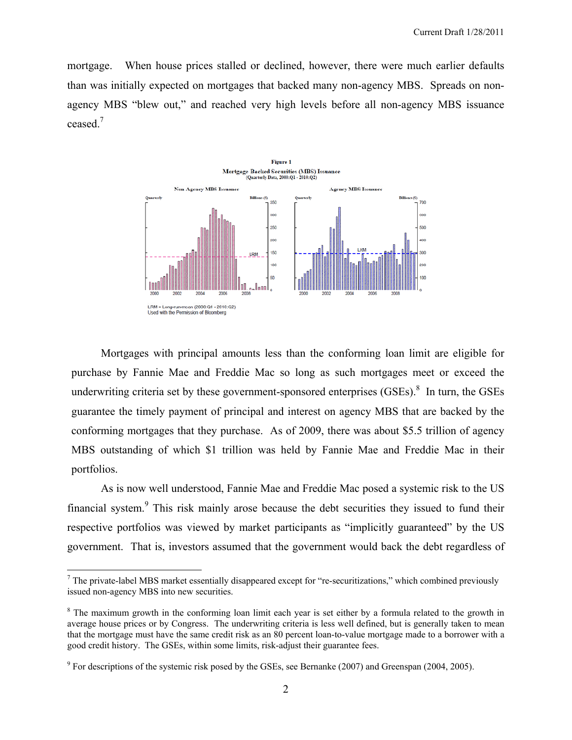mortgage. When house prices stalled or declined, however, there were much earlier defaults than was initially expected on mortgages that backed many non-agency MBS. Spreads on nonagency MBS "blew out," and reached very high levels before all non-agency MBS issuance ceased. $<sup>7</sup>$ </sup>



Mortgages with principal amounts less than the conforming loan limit are eligible for purchase by Fannie Mae and Freddie Mac so long as such mortgages meet or exceed the underwriting criteria set by these government-sponsored enterprises  $(GSEs)$ .<sup>8</sup> In turn, the GSEs guarantee the timely payment of principal and interest on agency MBS that are backed by the conforming mortgages that they purchase. As of 2009, there was about \$5.5 trillion of agency MBS outstanding of which \$1 trillion was held by Fannie Mae and Freddie Mac in their portfolios.

As is now well understood, Fannie Mae and Freddie Mac posed a systemic risk to the US financial system.<sup>9</sup> This risk mainly arose because the debt securities they issued to fund their respective portfolios was viewed by market participants as "implicitly guaranteed" by the US government. That is, investors assumed that the government would back the debt regardless of

 $<sup>7</sup>$  The private-label MBS market essentially disappeared except for "re-securitizations," which combined previously</sup> issued non-agency MBS into new securities.

<sup>&</sup>lt;sup>8</sup> The maximum growth in the conforming loan limit each year is set either by a formula related to the growth in average house prices or by Congress. The underwriting criteria is less well defined, but is generally taken to mean that the mortgage must have the same credit risk as an 80 percent loan-to-value mortgage made to a borrower with a good credit history. The GSEs, within some limits, risk-adjust their guarantee fees.

 $9^9$  For descriptions of the systemic risk posed by the GSEs, see Bernanke (2007) and Greenspan (2004, 2005).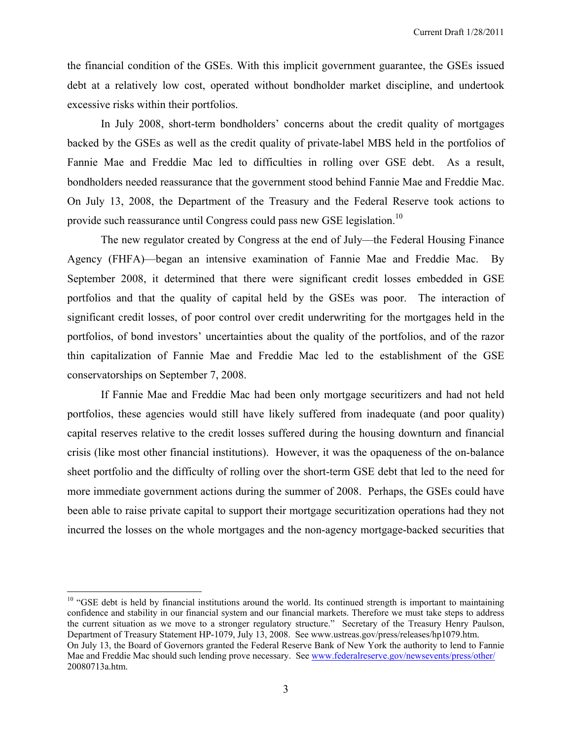the financial condition of the GSEs. With this implicit government guarantee, the GSEs issued debt at a relatively low cost, operated without bondholder market discipline, and undertook excessive risks within their portfolios.

In July 2008, short-term bondholders' concerns about the credit quality of mortgages backed by the GSEs as well as the credit quality of private-label MBS held in the portfolios of Fannie Mae and Freddie Mac led to difficulties in rolling over GSE debt. As a result, bondholders needed reassurance that the government stood behind Fannie Mae and Freddie Mac. On July 13, 2008, the Department of the Treasury and the Federal Reserve took actions to provide such reassurance until Congress could pass new GSE legislation.<sup>10</sup>

The new regulator created by Congress at the end of July—the Federal Housing Finance Agency (FHFA)—began an intensive examination of Fannie Mae and Freddie Mac. By September 2008, it determined that there were significant credit losses embedded in GSE portfolios and that the quality of capital held by the GSEs was poor. The interaction of significant credit losses, of poor control over credit underwriting for the mortgages held in the portfolios, of bond investors' uncertainties about the quality of the portfolios, and of the razor thin capitalization of Fannie Mae and Freddie Mac led to the establishment of the GSE conservatorships on September 7, 2008.

If Fannie Mae and Freddie Mac had been only mortgage securitizers and had not held portfolios, these agencies would still have likely suffered from inadequate (and poor quality) capital reserves relative to the credit losses suffered during the housing downturn and financial crisis (like most other financial institutions). However, it was the opaqueness of the on-balance sheet portfolio and the difficulty of rolling over the short-term GSE debt that led to the need for more immediate government actions during the summer of 2008. Perhaps, the GSEs could have been able to raise private capital to support their mortgage securitization operations had they not incurred the losses on the whole mortgages and the non-agency mortgage-backed securities that

 $10$  "GSE debt is held by financial institutions around the world. Its continued strength is important to maintaining confidence and stability in our financial system and our financial markets. Therefore we must take steps to address the current situation as we move to a stronger regulatory structure." Secretary of the Treasury Henry Paulson, Department of Treasury Statement HP-1079, July 13, 2008. See www.ustreas.gov/press/releases/hp1079.htm. On July 13, the Board of Governors granted the Federal Reserve Bank of New York the authority to lend to Fannie Mae and Freddie Mac should such lending prove necessary. See www.federalreserve.gov/newsevents/press/other/ 20080713a.htm.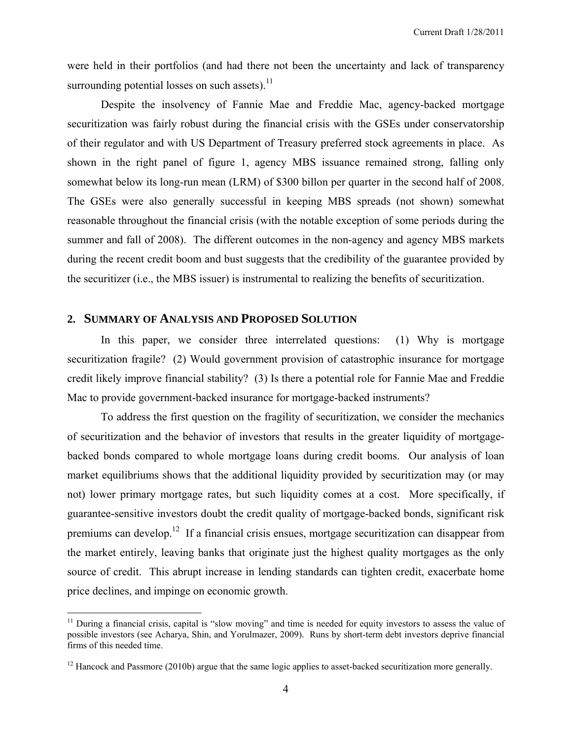were held in their portfolios (and had there not been the uncertainty and lack of transparency surrounding potential losses on such assets). $^{11}$ 

Despite the insolvency of Fannie Mae and Freddie Mac, agency-backed mortgage securitization was fairly robust during the financial crisis with the GSEs under conservatorship of their regulator and with US Department of Treasury preferred stock agreements in place. As shown in the right panel of figure 1, agency MBS issuance remained strong, falling only somewhat below its long-run mean (LRM) of \$300 billon per quarter in the second half of 2008. The GSEs were also generally successful in keeping MBS spreads (not shown) somewhat reasonable throughout the financial crisis (with the notable exception of some periods during the summer and fall of 2008). The different outcomes in the non-agency and agency MBS markets during the recent credit boom and bust suggests that the credibility of the guarantee provided by the securitizer (i.e., the MBS issuer) is instrumental to realizing the benefits of securitization.

## **2. SUMMARY OF ANALYSIS AND PROPOSED SOLUTION**

 $\overline{a}$ 

 In this paper, we consider three interrelated questions: (1) Why is mortgage securitization fragile? (2) Would government provision of catastrophic insurance for mortgage credit likely improve financial stability? (3) Is there a potential role for Fannie Mae and Freddie Mac to provide government-backed insurance for mortgage-backed instruments?

 To address the first question on the fragility of securitization, we consider the mechanics of securitization and the behavior of investors that results in the greater liquidity of mortgagebacked bonds compared to whole mortgage loans during credit booms. Our analysis of loan market equilibriums shows that the additional liquidity provided by securitization may (or may not) lower primary mortgage rates, but such liquidity comes at a cost. More specifically, if guarantee-sensitive investors doubt the credit quality of mortgage-backed bonds, significant risk premiums can develop.12 If a financial crisis ensues, mortgage securitization can disappear from the market entirely, leaving banks that originate just the highest quality mortgages as the only source of credit. This abrupt increase in lending standards can tighten credit, exacerbate home price declines, and impinge on economic growth.

<sup>&</sup>lt;sup>11</sup> During a financial crisis, capital is "slow moving" and time is needed for equity investors to assess the value of possible investors (see Acharya, Shin, and Yorulmazer, 2009). Runs by short-term debt investors deprive financial firms of this needed time.

<sup>&</sup>lt;sup>12</sup> Hancock and Passmore (2010b) argue that the same logic applies to asset-backed securitization more generally.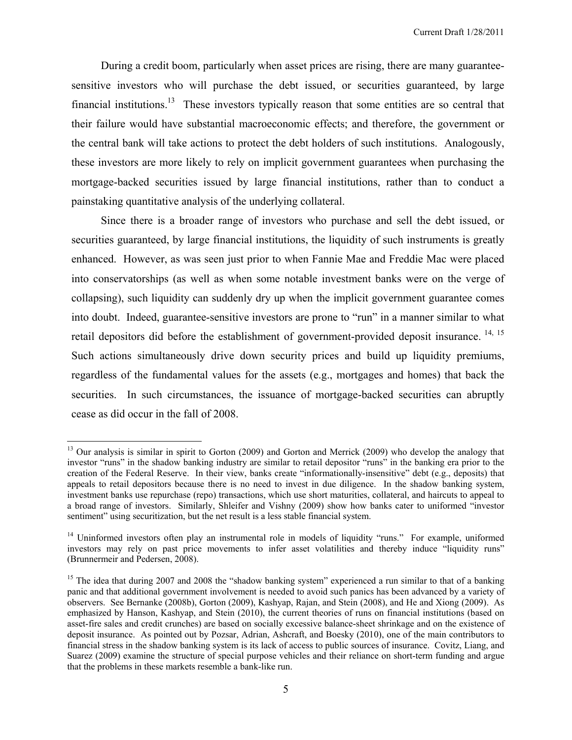During a credit boom, particularly when asset prices are rising, there are many guaranteesensitive investors who will purchase the debt issued, or securities guaranteed, by large financial institutions.<sup>13</sup> These investors typically reason that some entities are so central that their failure would have substantial macroeconomic effects; and therefore, the government or the central bank will take actions to protect the debt holders of such institutions. Analogously, these investors are more likely to rely on implicit government guarantees when purchasing the mortgage-backed securities issued by large financial institutions, rather than to conduct a painstaking quantitative analysis of the underlying collateral.

Since there is a broader range of investors who purchase and sell the debt issued, or securities guaranteed, by large financial institutions, the liquidity of such instruments is greatly enhanced. However, as was seen just prior to when Fannie Mae and Freddie Mac were placed into conservatorships (as well as when some notable investment banks were on the verge of collapsing), such liquidity can suddenly dry up when the implicit government guarantee comes into doubt. Indeed, guarantee-sensitive investors are prone to "run" in a manner similar to what retail depositors did before the establishment of government-provided deposit insurance. <sup>14, 15</sup> Such actions simultaneously drive down security prices and build up liquidity premiums, regardless of the fundamental values for the assets (e.g., mortgages and homes) that back the securities. In such circumstances, the issuance of mortgage-backed securities can abruptly cease as did occur in the fall of 2008.

1

<sup>&</sup>lt;sup>13</sup> Our analysis is similar in spirit to Gorton (2009) and Gorton and Merrick (2009) who develop the analogy that investor "runs" in the shadow banking industry are similar to retail depositor "runs" in the banking era prior to the creation of the Federal Reserve. In their view, banks create "informationally-insensitive" debt (e.g., deposits) that appeals to retail depositors because there is no need to invest in due diligence. In the shadow banking system, investment banks use repurchase (repo) transactions, which use short maturities, collateral, and haircuts to appeal to a broad range of investors. Similarly, Shleifer and Vishny (2009) show how banks cater to uniformed "investor sentiment" using securitization, but the net result is a less stable financial system.

<sup>&</sup>lt;sup>14</sup> Uninformed investors often play an instrumental role in models of liquidity "runs." For example, uniformed investors may rely on past price movements to infer asset volatilities and thereby induce "liquidity runs" (Brunnermeir and Pedersen, 2008).

<sup>&</sup>lt;sup>15</sup> The idea that during 2007 and 2008 the "shadow banking system" experienced a run similar to that of a banking panic and that additional government involvement is needed to avoid such panics has been advanced by a variety of observers. See Bernanke (2008b), Gorton (2009), Kashyap, Rajan, and Stein (2008), and He and Xiong (2009). As emphasized by Hanson, Kashyap, and Stein (2010), the current theories of runs on financial institutions (based on asset-fire sales and credit crunches) are based on socially excessive balance-sheet shrinkage and on the existence of deposit insurance. As pointed out by Pozsar, Adrian, Ashcraft, and Boesky (2010), one of the main contributors to financial stress in the shadow banking system is its lack of access to public sources of insurance. Covitz, Liang, and Suarez (2009) examine the structure of special purpose vehicles and their reliance on short-term funding and argue that the problems in these markets resemble a bank-like run.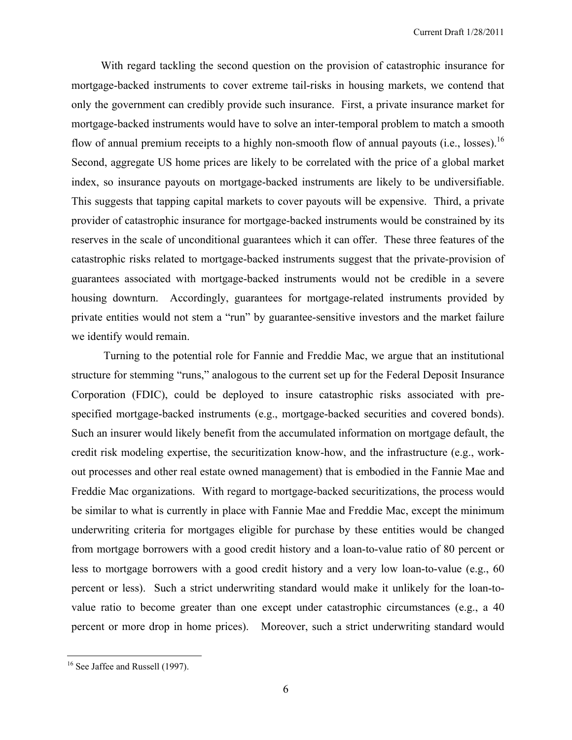With regard tackling the second question on the provision of catastrophic insurance for mortgage-backed instruments to cover extreme tail-risks in housing markets, we contend that only the government can credibly provide such insurance. First, a private insurance market for mortgage-backed instruments would have to solve an inter-temporal problem to match a smooth flow of annual premium receipts to a highly non-smooth flow of annual payouts (i.e., losses).<sup>16</sup> Second, aggregate US home prices are likely to be correlated with the price of a global market index, so insurance payouts on mortgage-backed instruments are likely to be undiversifiable. This suggests that tapping capital markets to cover payouts will be expensive. Third, a private provider of catastrophic insurance for mortgage-backed instruments would be constrained by its reserves in the scale of unconditional guarantees which it can offer. These three features of the catastrophic risks related to mortgage-backed instruments suggest that the private-provision of guarantees associated with mortgage-backed instruments would not be credible in a severe housing downturn. Accordingly, guarantees for mortgage-related instruments provided by private entities would not stem a "run" by guarantee-sensitive investors and the market failure we identify would remain.

 Turning to the potential role for Fannie and Freddie Mac, we argue that an institutional structure for stemming "runs," analogous to the current set up for the Federal Deposit Insurance Corporation (FDIC), could be deployed to insure catastrophic risks associated with prespecified mortgage-backed instruments (e.g., mortgage-backed securities and covered bonds). Such an insurer would likely benefit from the accumulated information on mortgage default, the credit risk modeling expertise, the securitization know-how, and the infrastructure (e.g., workout processes and other real estate owned management) that is embodied in the Fannie Mae and Freddie Mac organizations. With regard to mortgage-backed securitizations, the process would be similar to what is currently in place with Fannie Mae and Freddie Mac, except the minimum underwriting criteria for mortgages eligible for purchase by these entities would be changed from mortgage borrowers with a good credit history and a loan-to-value ratio of 80 percent or less to mortgage borrowers with a good credit history and a very low loan-to-value (e.g., 60 percent or less). Such a strict underwriting standard would make it unlikely for the loan-tovalue ratio to become greater than one except under catastrophic circumstances (e.g., a 40 percent or more drop in home prices). Moreover, such a strict underwriting standard would

<u>.</u>

<sup>&</sup>lt;sup>16</sup> See Jaffee and Russell (1997).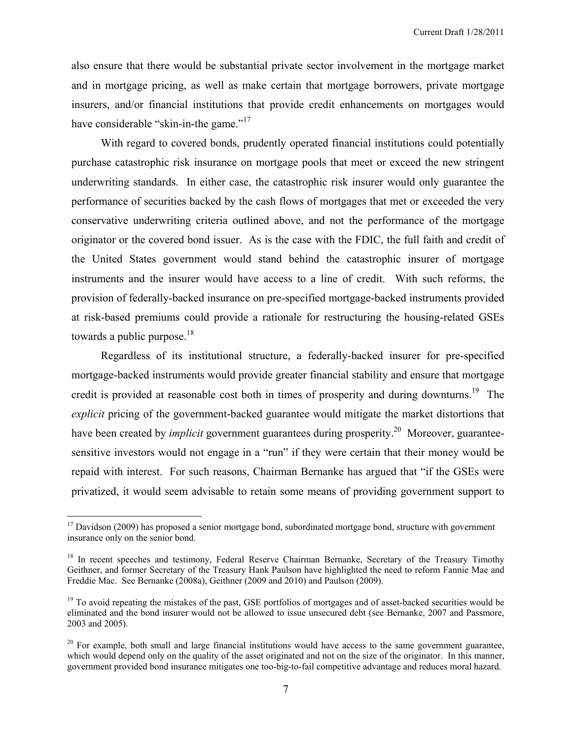also ensure that there would be substantial private sector involvement in the mortgage market and in mortgage pricing, as well as make certain that mortgage borrowers, private mortgage insurers, and/or financial institutions that provide credit enhancements on mortgages would have considerable "skin-in-the game."<sup>17</sup>

With regard to covered bonds, prudently operated financial institutions could potentially purchase catastrophic risk insurance on mortgage pools that meet or exceed the new stringent underwriting standards. In either case, the catastrophic risk insurer would only guarantee the performance of securities backed by the cash flows of mortgages that met or exceeded the very conservative underwriting criteria outlined above, and not the performance of the mortgage originator or the covered bond issuer. As is the case with the FDIC, the full faith and credit of the United States government would stand behind the catastrophic insurer of mortgage instruments and the insurer would have access to a line of credit. With such reforms, the provision of federally-backed insurance on pre-specified mortgage-backed instruments provided at risk-based premiums could provide a rationale for restructuring the housing-related GSEs towards a public purpose.<sup>18</sup>

Regardless of its institutional structure, a federally-backed insurer for pre-specified mortgage-backed instruments would provide greater financial stability and ensure that mortgage credit is provided at reasonable cost both in times of prosperity and during downturns.<sup>19</sup> The *explicit* pricing of the government-backed guarantee would mitigate the market distortions that have been created by *implicit* government guarantees during prosperity.<sup>20</sup> Moreover, guaranteesensitive investors would not engage in a "run" if they were certain that their money would be repaid with interest. For such reasons, Chairman Bernanke has argued that "if the GSEs were privatized, it would seem advisable to retain some means of providing government support to

 $17$  Davidson (2009) has proposed a senior mortgage bond, subordinated mortgage bond, structure with government insurance only on the senior bond.

<sup>&</sup>lt;sup>18</sup> In recent speeches and testimony, Federal Reserve Chairman Bernanke, Secretary of the Treasury Timothy Geithner, and former Secretary of the Treasury Hank Paulson have highlighted the need to reform Fannie Mae and Freddie Mac. See Bernanke (2008a), Geithner (2009 and 2010) and Paulson (2009).

 $19$  To avoid repeating the mistakes of the past, GSE portfolios of mortgages and of asset-backed securities would be eliminated and the bond insurer would not be allowed to issue unsecured debt (see Bernanke, 2007 and Passmore, 2003 and 2005).

 $20$  For example, both small and large financial institutions would have access to the same government guarantee, which would depend only on the quality of the asset originated and not on the size of the originator. In this manner, government provided bond insurance mitigates one too-big-to-fail competitive advantage and reduces moral hazard.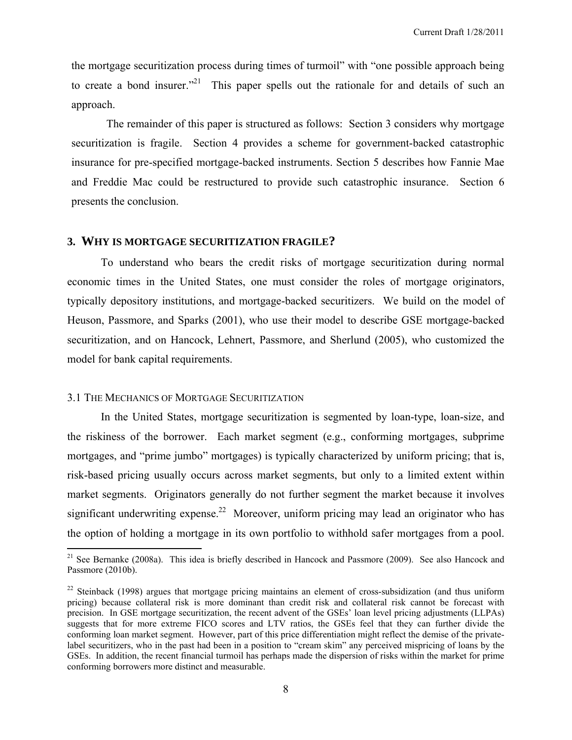the mortgage securitization process during times of turmoil" with "one possible approach being to create a bond insurer."<sup>21</sup> This paper spells out the rationale for and details of such an approach.

 The remainder of this paper is structured as follows: Section 3 considers why mortgage securitization is fragile. Section 4 provides a scheme for government-backed catastrophic insurance for pre-specified mortgage-backed instruments. Section 5 describes how Fannie Mae and Freddie Mac could be restructured to provide such catastrophic insurance. Section 6 presents the conclusion.

## **3. WHY IS MORTGAGE SECURITIZATION FRAGILE?**

 To understand who bears the credit risks of mortgage securitization during normal economic times in the United States, one must consider the roles of mortgage originators, typically depository institutions, and mortgage-backed securitizers. We build on the model of Heuson, Passmore, and Sparks (2001), who use their model to describe GSE mortgage-backed securitization, and on Hancock, Lehnert, Passmore, and Sherlund (2005), who customized the model for bank capital requirements.

## 3.1 THE MECHANICS OF MORTGAGE SECURITIZATION

 $\overline{a}$ 

 In the United States, mortgage securitization is segmented by loan-type, loan-size, and the riskiness of the borrower. Each market segment (e.g., conforming mortgages, subprime mortgages, and "prime jumbo" mortgages) is typically characterized by uniform pricing; that is, risk-based pricing usually occurs across market segments, but only to a limited extent within market segments. Originators generally do not further segment the market because it involves significant underwriting expense.<sup>22</sup> Moreover, uniform pricing may lead an originator who has the option of holding a mortgage in its own portfolio to withhold safer mortgages from a pool.

<sup>&</sup>lt;sup>21</sup> See Bernanke (2008a). This idea is briefly described in Hancock and Passmore (2009). See also Hancock and Passmore (2010b).

<sup>&</sup>lt;sup>22</sup> Steinback (1998) argues that mortgage pricing maintains an element of cross-subsidization (and thus uniform pricing) because collateral risk is more dominant than credit risk and collateral risk cannot be forecast with precision. In GSE mortgage securitization, the recent advent of the GSEs' loan level pricing adjustments (LLPAs) suggests that for more extreme FICO scores and LTV ratios, the GSEs feel that they can further divide the conforming loan market segment. However, part of this price differentiation might reflect the demise of the privatelabel securitizers, who in the past had been in a position to "cream skim" any perceived mispricing of loans by the GSEs. In addition, the recent financial turmoil has perhaps made the dispersion of risks within the market for prime conforming borrowers more distinct and measurable.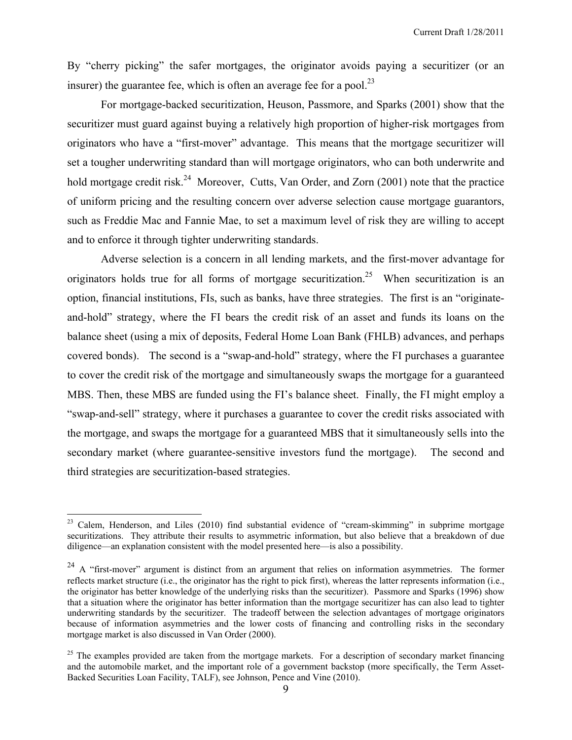By "cherry picking" the safer mortgages, the originator avoids paying a securitizer (or an insurer) the guarantee fee, which is often an average fee for a pool.<sup>23</sup>

For mortgage-backed securitization, Heuson, Passmore, and Sparks (2001) show that the securitizer must guard against buying a relatively high proportion of higher-risk mortgages from originators who have a "first-mover" advantage. This means that the mortgage securitizer will set a tougher underwriting standard than will mortgage originators, who can both underwrite and hold mortgage credit risk.<sup>24</sup> Moreover, Cutts, Van Order, and Zorn (2001) note that the practice of uniform pricing and the resulting concern over adverse selection cause mortgage guarantors, such as Freddie Mac and Fannie Mae, to set a maximum level of risk they are willing to accept and to enforce it through tighter underwriting standards.

 Adverse selection is a concern in all lending markets, and the first-mover advantage for originators holds true for all forms of mortgage securitization.<sup>25</sup> When securitization is an option, financial institutions, FIs, such as banks, have three strategies. The first is an "originateand-hold" strategy, where the FI bears the credit risk of an asset and funds its loans on the balance sheet (using a mix of deposits, Federal Home Loan Bank (FHLB) advances, and perhaps covered bonds). The second is a "swap-and-hold" strategy, where the FI purchases a guarantee to cover the credit risk of the mortgage and simultaneously swaps the mortgage for a guaranteed MBS. Then, these MBS are funded using the FI's balance sheet. Finally, the FI might employ a "swap-and-sell" strategy, where it purchases a guarantee to cover the credit risks associated with the mortgage, and swaps the mortgage for a guaranteed MBS that it simultaneously sells into the secondary market (where guarantee-sensitive investors fund the mortgage). The second and third strategies are securitization-based strategies.

<sup>&</sup>lt;sup>23</sup> Calem, Henderson, and Liles (2010) find substantial evidence of "cream-skimming" in subprime mortgage securitizations. They attribute their results to asymmetric information, but also believe that a breakdown of due diligence—an explanation consistent with the model presented here—is also a possibility.

 $24$  A "first-mover" argument is distinct from an argument that relies on information asymmetries. The former reflects market structure (i.e., the originator has the right to pick first), whereas the latter represents information (i.e., the originator has better knowledge of the underlying risks than the securitizer). Passmore and Sparks (1996) show that a situation where the originator has better information than the mortgage securitizer has can also lead to tighter underwriting standards by the securitizer. The tradeoff between the selection advantages of mortgage originators because of information asymmetries and the lower costs of financing and controlling risks in the secondary mortgage market is also discussed in Van Order (2000).

 $25$  The examples provided are taken from the mortgage markets. For a description of secondary market financing and the automobile market, and the important role of a government backstop (more specifically, the Term Asset-Backed Securities Loan Facility, TALF), see Johnson, Pence and Vine (2010).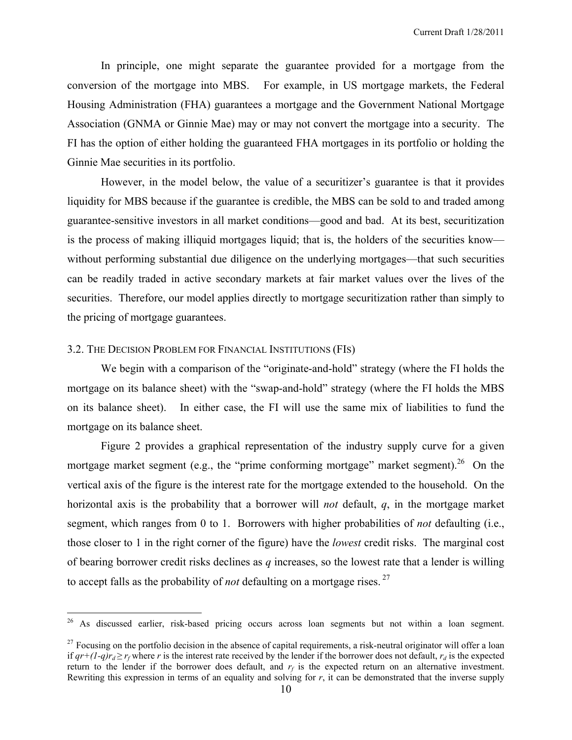In principle, one might separate the guarantee provided for a mortgage from the conversion of the mortgage into MBS. For example, in US mortgage markets, the Federal Housing Administration (FHA) guarantees a mortgage and the Government National Mortgage Association (GNMA or Ginnie Mae) may or may not convert the mortgage into a security. The FI has the option of either holding the guaranteed FHA mortgages in its portfolio or holding the Ginnie Mae securities in its portfolio.

 However, in the model below, the value of a securitizer's guarantee is that it provides liquidity for MBS because if the guarantee is credible, the MBS can be sold to and traded among guarantee-sensitive investors in all market conditions—good and bad. At its best, securitization is the process of making illiquid mortgages liquid; that is, the holders of the securities know without performing substantial due diligence on the underlying mortgages—that such securities can be readily traded in active secondary markets at fair market values over the lives of the securities. Therefore, our model applies directly to mortgage securitization rather than simply to the pricing of mortgage guarantees.

## 3.2. THE DECISION PROBLEM FOR FINANCIAL INSTITUTIONS (FIS)

 $\overline{a}$ 

We begin with a comparison of the "originate-and-hold" strategy (where the FI holds the mortgage on its balance sheet) with the "swap-and-hold" strategy (where the FI holds the MBS on its balance sheet). In either case, the FI will use the same mix of liabilities to fund the mortgage on its balance sheet.

Figure 2 provides a graphical representation of the industry supply curve for a given mortgage market segment (e.g., the "prime conforming mortgage" market segment).<sup>26</sup> On the vertical axis of the figure is the interest rate for the mortgage extended to the household. On the horizontal axis is the probability that a borrower will *not* default, *q*, in the mortgage market segment, which ranges from 0 to 1. Borrowers with higher probabilities of *not* defaulting (i.e., those closer to 1 in the right corner of the figure) have the *lowest* credit risks. The marginal cost of bearing borrower credit risks declines as *q* increases, so the lowest rate that a lender is willing to accept falls as the probability of *not* defaulting on a mortgage rises.<sup>27</sup>

<sup>&</sup>lt;sup>26</sup> As discussed earlier, risk-based pricing occurs across loan segments but not within a loan segment.

 $27$  Focusing on the portfolio decision in the absence of capital requirements, a risk-neutral originator will offer a loan *if*  $qr+(1-q)r_d ≥ r_f$  where *r* is the interest rate received by the lender if the borrower does not default,  $r_d$  is the expected return to the lender if the borrower does default, and  $r_f$  is the expected return on an alternative investment. Rewriting this expression in terms of an equality and solving for *r*, it can be demonstrated that the inverse supply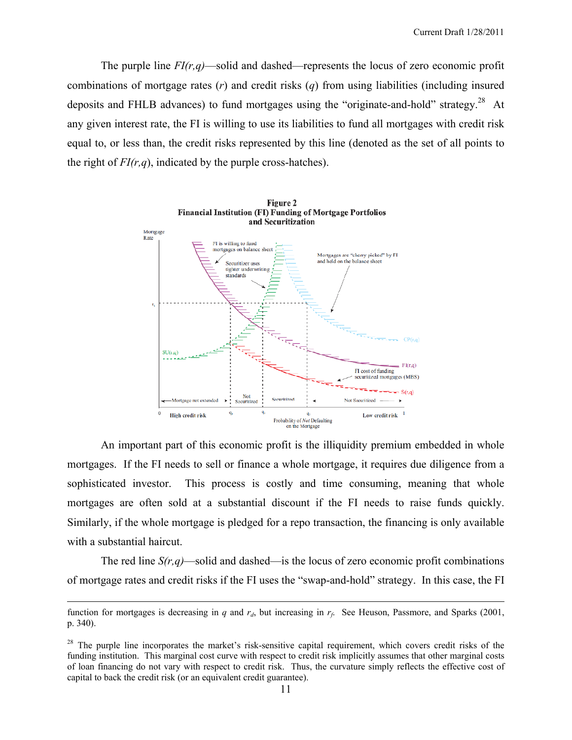The purple line  $FI(r,q)$ —solid and dashed—represents the locus of zero economic profit combinations of mortgage rates (*r*) and credit risks (*q*) from using liabilities (including insured deposits and FHLB advances) to fund mortgages using the "originate-and-hold" strategy.<sup>28</sup> At any given interest rate, the FI is willing to use its liabilities to fund all mortgages with credit risk equal to, or less than, the credit risks represented by this line (denoted as the set of all points to the right of  $FI(r,q)$ , indicated by the purple cross-hatches).



An important part of this economic profit is the illiquidity premium embedded in whole mortgages. If the FI needs to sell or finance a whole mortgage, it requires due diligence from a sophisticated investor. This process is costly and time consuming, meaning that whole mortgages are often sold at a substantial discount if the FI needs to raise funds quickly. Similarly, if the whole mortgage is pledged for a repo transaction, the financing is only available with a substantial haircut.

The red line  $S(r,q)$ —solid and dashed—is the locus of zero economic profit combinations of mortgage rates and credit risks if the FI uses the "swap-and-hold" strategy. In this case, the FI

function for mortgages is decreasing in *q* and  $r_d$ , but increasing in  $r_f$ . See Heuson, Passmore, and Sparks (2001, p. 340).

 $2<sup>8</sup>$  The purple line incorporates the market's risk-sensitive capital requirement, which covers credit risks of the funding institution. This marginal cost curve with respect to credit risk implicitly assumes that other marginal costs of loan financing do not vary with respect to credit risk. Thus, the curvature simply reflects the effective cost of capital to back the credit risk (or an equivalent credit guarantee).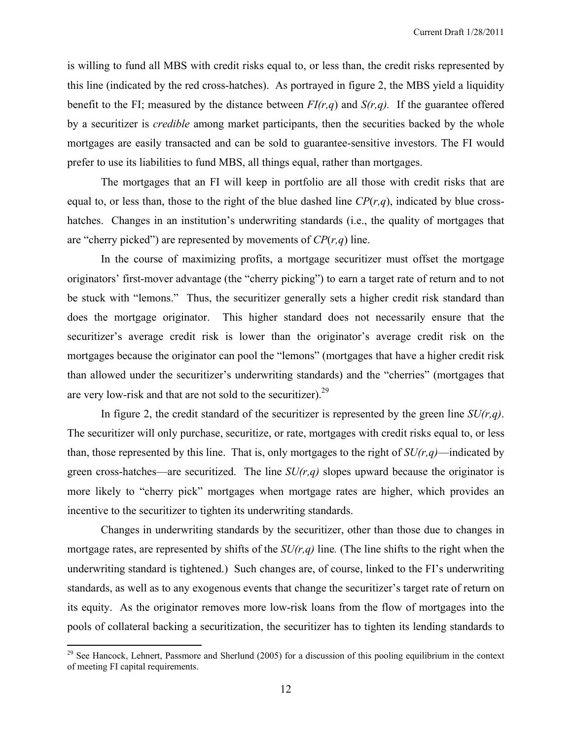is willing to fund all MBS with credit risks equal to, or less than, the credit risks represented by this line (indicated by the red cross-hatches). As portrayed in figure 2, the MBS yield a liquidity benefit to the FI; measured by the distance between  $FI(r,q)$  and  $S(r,q)$ . If the guarantee offered by a securitizer is *credible* among market participants, then the securities backed by the whole mortgages are easily transacted and can be sold to guarantee-sensitive investors. The FI would prefer to use its liabilities to fund MBS, all things equal, rather than mortgages.

 The mortgages that an FI will keep in portfolio are all those with credit risks that are equal to, or less than, those to the right of the blue dashed line  $CP(r,q)$ , indicated by blue crosshatches. Changes in an institution's underwriting standards (i.e., the quality of mortgages that are "cherry picked") are represented by movements of *CP*(*r,q*) line.

In the course of maximizing profits, a mortgage securitizer must offset the mortgage originators' first-mover advantage (the "cherry picking") to earn a target rate of return and to not be stuck with "lemons." Thus, the securitizer generally sets a higher credit risk standard than does the mortgage originator. This higher standard does not necessarily ensure that the securitizer's average credit risk is lower than the originator's average credit risk on the mortgages because the originator can pool the "lemons" (mortgages that have a higher credit risk than allowed under the securitizer's underwriting standards) and the "cherries" (mortgages that are very low-risk and that are not sold to the securitizer).<sup>29</sup>

In figure 2, the credit standard of the securitizer is represented by the green line *SU(r,q)*. The securitizer will only purchase, securitize, or rate, mortgages with credit risks equal to, or less than, those represented by this line. That is, only mortgages to the right of  $SU(r,q)$ —indicated by green cross-hatches—are securitized. The line *SU(r,q)* slopes upward because the originator is more likely to "cherry pick" mortgages when mortgage rates are higher, which provides an incentive to the securitizer to tighten its underwriting standards.

Changes in underwriting standards by the securitizer, other than those due to changes in mortgage rates, are represented by shifts of the *SU(r,q)* line*.* (The line shifts to the right when the underwriting standard is tightened.) Such changes are, of course, linked to the FI's underwriting standards, as well as to any exogenous events that change the securitizer's target rate of return on its equity. As the originator removes more low-risk loans from the flow of mortgages into the pools of collateral backing a securitization, the securitizer has to tighten its lending standards to

 $29$  See Hancock, Lehnert, Passmore and Sherlund (2005) for a discussion of this pooling equilibrium in the context of meeting FI capital requirements.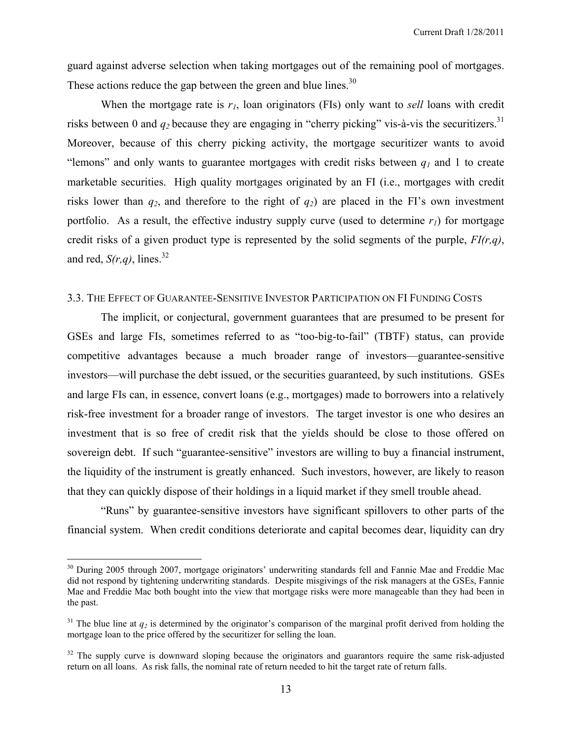guard against adverse selection when taking mortgages out of the remaining pool of mortgages. These actions reduce the gap between the green and blue lines.<sup>30</sup>

 When the mortgage rate is *r1*, loan originators (FIs) only want to *sell* loans with credit risks between 0 and  $q_2$  because they are engaging in "cherry picking" vis-à-vis the securitizers.<sup>31</sup> Moreover, because of this cherry picking activity, the mortgage securitizer wants to avoid "lemons" and only wants to guarantee mortgages with credit risks between  $q_1$  and 1 to create marketable securities. High quality mortgages originated by an FI (i.e., mortgages with credit risks lower than  $q_2$ , and therefore to the right of  $q_2$ ) are placed in the FI's own investment portfolio. As a result, the effective industry supply curve (used to determine  $r_l$ ) for mortgage credit risks of a given product type is represented by the solid segments of the purple, *FI(r,q)*, and red,  $S(r,q)$ , lines.<sup>32</sup>

#### 3.3. THE EFFECT OF GUARANTEE-SENSITIVE INVESTOR PARTICIPATION ON FI FUNDING COSTS

The implicit, or conjectural, government guarantees that are presumed to be present for GSEs and large FIs, sometimes referred to as "too-big-to-fail" (TBTF) status, can provide competitive advantages because a much broader range of investors—guarantee-sensitive investors—will purchase the debt issued, or the securities guaranteed, by such institutions. GSEs and large FIs can, in essence, convert loans (e.g., mortgages) made to borrowers into a relatively risk-free investment for a broader range of investors. The target investor is one who desires an investment that is so free of credit risk that the yields should be close to those offered on sovereign debt. If such "guarantee-sensitive" investors are willing to buy a financial instrument, the liquidity of the instrument is greatly enhanced. Such investors, however, are likely to reason that they can quickly dispose of their holdings in a liquid market if they smell trouble ahead.

 "Runs" by guarantee-sensitive investors have significant spillovers to other parts of the financial system. When credit conditions deteriorate and capital becomes dear, liquidity can dry

<sup>&</sup>lt;sup>30</sup> During 2005 through 2007, mortgage originators' underwriting standards fell and Fannie Mae and Freddie Mac did not respond by tightening underwriting standards. Despite misgivings of the risk managers at the GSEs, Fannie Mae and Freddie Mac both bought into the view that mortgage risks were more manageable than they had been in the past.

<sup>&</sup>lt;sup>31</sup> The blue line at  $q_2$  is determined by the originator's comparison of the marginal profit derived from holding the mortgage loan to the price offered by the securitizer for selling the loan.

 $32$  The supply curve is downward sloping because the originators and guarantors require the same risk-adjusted return on all loans. As risk falls, the nominal rate of return needed to hit the target rate of return falls.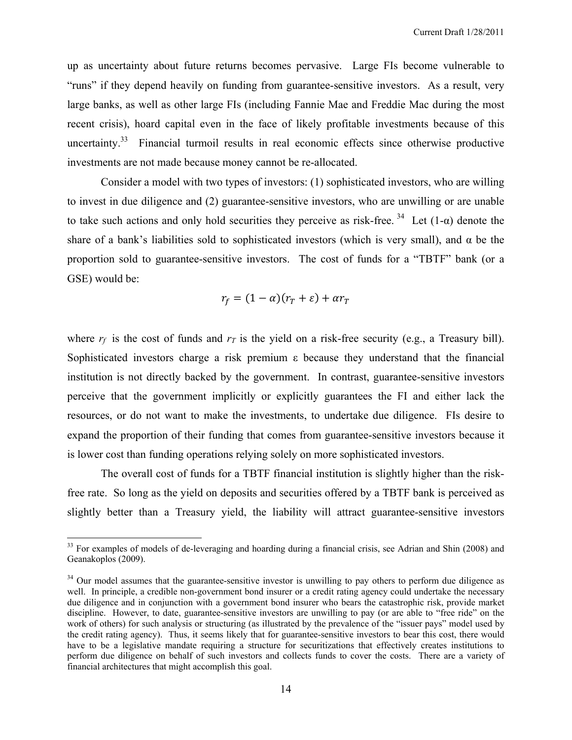up as uncertainty about future returns becomes pervasive. Large FIs become vulnerable to "runs" if they depend heavily on funding from guarantee-sensitive investors. As a result, very large banks, as well as other large FIs (including Fannie Mae and Freddie Mac during the most recent crisis), hoard capital even in the face of likely profitable investments because of this uncertainty.<sup>33</sup> Financial turmoil results in real economic effects since otherwise productive investments are not made because money cannot be re-allocated.

 Consider a model with two types of investors: (1) sophisticated investors, who are willing to invest in due diligence and (2) guarantee-sensitive investors, who are unwilling or are unable to take such actions and only hold securities they perceive as risk-free.  $34$  Let (1- $\alpha$ ) denote the share of a bank's liabilities sold to sophisticated investors (which is very small), and  $\alpha$  be the proportion sold to guarantee-sensitive investors. The cost of funds for a "TBTF" bank (or a GSE) would be:

$$
r_f = (1 - \alpha)(r_T + \varepsilon) + \alpha r_T
$$

where  $r_f$  is the cost of funds and  $r_f$  is the yield on a risk-free security (e.g., a Treasury bill). Sophisticated investors charge a risk premium ε because they understand that the financial institution is not directly backed by the government. In contrast, guarantee-sensitive investors perceive that the government implicitly or explicitly guarantees the FI and either lack the resources, or do not want to make the investments, to undertake due diligence. FIs desire to expand the proportion of their funding that comes from guarantee-sensitive investors because it is lower cost than funding operations relying solely on more sophisticated investors.

 The overall cost of funds for a TBTF financial institution is slightly higher than the riskfree rate. So long as the yield on deposits and securities offered by a TBTF bank is perceived as slightly better than a Treasury yield, the liability will attract guarantee-sensitive investors

<sup>&</sup>lt;sup>33</sup> For examples of models of de-leveraging and hoarding during a financial crisis, see Adrian and Shin (2008) and Geanakoplos (2009).

 $34$  Our model assumes that the guarantee-sensitive investor is unwilling to pay others to perform due diligence as well. In principle, a credible non-government bond insurer or a credit rating agency could undertake the necessary due diligence and in conjunction with a government bond insurer who bears the catastrophic risk, provide market discipline. However, to date, guarantee-sensitive investors are unwilling to pay (or are able to "free ride" on the work of others) for such analysis or structuring (as illustrated by the prevalence of the "issuer pays" model used by the credit rating agency). Thus, it seems likely that for guarantee-sensitive investors to bear this cost, there would have to be a legislative mandate requiring a structure for securitizations that effectively creates institutions to perform due diligence on behalf of such investors and collects funds to cover the costs. There are a variety of financial architectures that might accomplish this goal.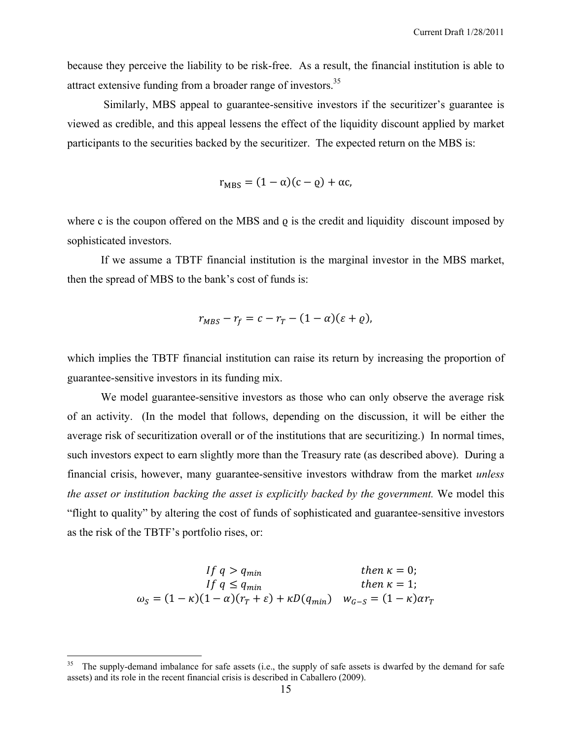because they perceive the liability to be risk-free. As a result, the financial institution is able to attract extensive funding from a broader range of investors.<sup>35</sup>

 Similarly, MBS appeal to guarantee-sensitive investors if the securitizer's guarantee is viewed as credible, and this appeal lessens the effect of the liquidity discount applied by market participants to the securities backed by the securitizer. The expected return on the MBS is:

$$
r_{MBS} = (1 - \alpha)(c - \varrho) + \alpha c,
$$

where c is the coupon offered on the MBS and  $\rho$  is the credit and liquidity discount imposed by sophisticated investors.

 If we assume a TBTF financial institution is the marginal investor in the MBS market, then the spread of MBS to the bank's cost of funds is:

$$
r_{MBS} - r_f = c - r_T - (1 - \alpha)(\varepsilon + \varrho),
$$

which implies the TBTF financial institution can raise its return by increasing the proportion of guarantee-sensitive investors in its funding mix.

 We model guarantee-sensitive investors as those who can only observe the average risk of an activity. (In the model that follows, depending on the discussion, it will be either the average risk of securitization overall or of the institutions that are securitizing.) In normal times, such investors expect to earn slightly more than the Treasury rate (as described above). During a financial crisis, however, many guarantee-sensitive investors withdraw from the market *unless the asset or institution backing the asset is explicitly backed by the government.* We model this "flight to quality" by altering the cost of funds of sophisticated and guarantee-sensitive investors as the risk of the TBTF's portfolio rises, or:

$$
If q > q_{min} \t then \t k = 0;
$$
  
\n
$$
If q \le q_{min} \t then \t k = 1;
$$
  
\n
$$
\omega_S = (1 - \kappa)(1 - \alpha)(r_T + \varepsilon) + \kappa D(q_{min}) \t w_{G-S} = (1 - \kappa)\alpha r_T
$$

<sup>35</sup> The supply-demand imbalance for safe assets (i.e., the supply of safe assets is dwarfed by the demand for safe assets) and its role in the recent financial crisis is described in Caballero (2009).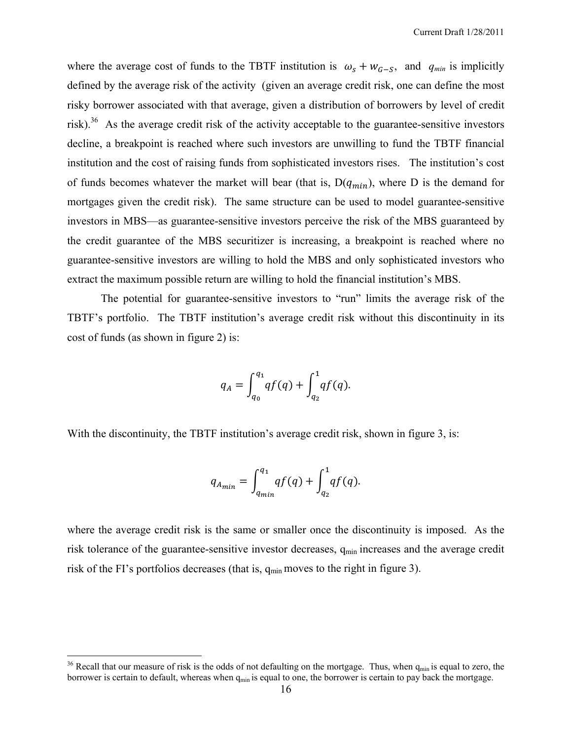where the average cost of funds to the TBTF institution is  $\omega_s + w_{\text{G-S}}$ , and  $q_{\text{min}}$  is implicitly defined by the average risk of the activity (given an average credit risk, one can define the most risky borrower associated with that average, given a distribution of borrowers by level of credit risk). $36$  As the average credit risk of the activity acceptable to the guarantee-sensitive investors decline, a breakpoint is reached where such investors are unwilling to fund the TBTF financial institution and the cost of raising funds from sophisticated investors rises. The institution's cost of funds becomes whatever the market will bear (that is,  $D(q_{min})$ , where D is the demand for mortgages given the credit risk). The same structure can be used to model guarantee-sensitive investors in MBS—as guarantee-sensitive investors perceive the risk of the MBS guaranteed by the credit guarantee of the MBS securitizer is increasing, a breakpoint is reached where no guarantee-sensitive investors are willing to hold the MBS and only sophisticated investors who extract the maximum possible return are willing to hold the financial institution's MBS.

The potential for guarantee-sensitive investors to "run" limits the average risk of the TBTF's portfolio. The TBTF institution's average credit risk without this discontinuity in its cost of funds (as shown in figure 2) is:

$$
q_A = \int_{q_0}^{q_1} q f(q) + \int_{q_2}^1 q f(q).
$$

With the discontinuity, the TBTF institution's average credit risk, shown in figure 3, is:

$$
q_{A_{min}} = \int_{q_{min}}^{q_1} q f(q) + \int_{q_2}^{1} q f(q).
$$

where the average credit risk is the same or smaller once the discontinuity is imposed. As the risk tolerance of the guarantee-sensitive investor decreases, q<sub>min</sub> increases and the average credit risk of the FI's portfolios decreases (that is,  $q_{min}$  moves to the right in figure 3).

<u>.</u>

<sup>&</sup>lt;sup>36</sup> Recall that our measure of risk is the odds of not defaulting on the mortgage. Thus, when  $q_{min}$  is equal to zero, the borrower is certain to default, whereas when q<sub>min</sub> is equal to one, the borrower is certain to pay back the mortgage.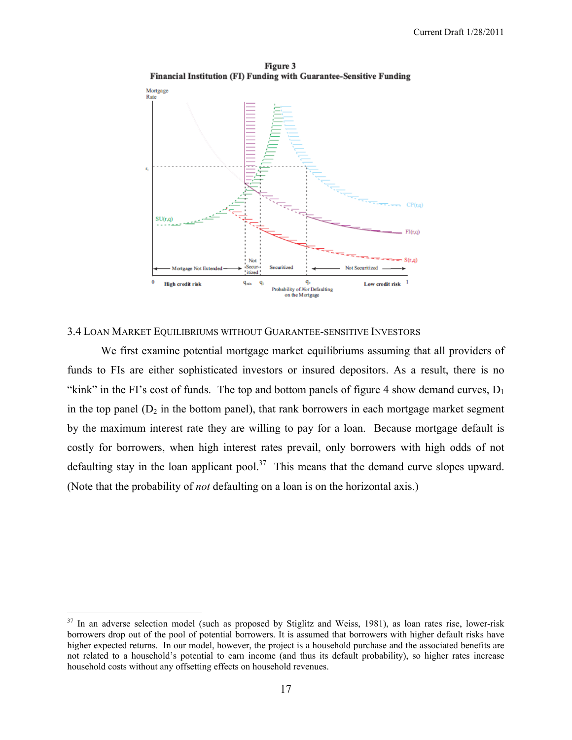

Figure 3 Financial Institution (FI) Funding with Guarantee-Sensitive Funding

#### 3.4 LOAN MARKET EQUILIBRIUMS WITHOUT GUARANTEE-SENSITIVE INVESTORS

We first examine potential mortgage market equilibriums assuming that all providers of funds to FIs are either sophisticated investors or insured depositors. As a result, there is no "kink" in the FI's cost of funds. The top and bottom panels of figure 4 show demand curves,  $D_1$ in the top panel  $(D_2$  in the bottom panel), that rank borrowers in each mortgage market segment by the maximum interest rate they are willing to pay for a loan. Because mortgage default is costly for borrowers, when high interest rates prevail, only borrowers with high odds of not defaulting stay in the loan applicant pool.<sup>37</sup> This means that the demand curve slopes upward. (Note that the probability of *not* defaulting on a loan is on the horizontal axis.)

 $37$  In an adverse selection model (such as proposed by Stiglitz and Weiss, 1981), as loan rates rise, lower-risk borrowers drop out of the pool of potential borrowers. It is assumed that borrowers with higher default risks have higher expected returns. In our model, however, the project is a household purchase and the associated benefits are not related to a household's potential to earn income (and thus its default probability), so higher rates increase household costs without any offsetting effects on household revenues.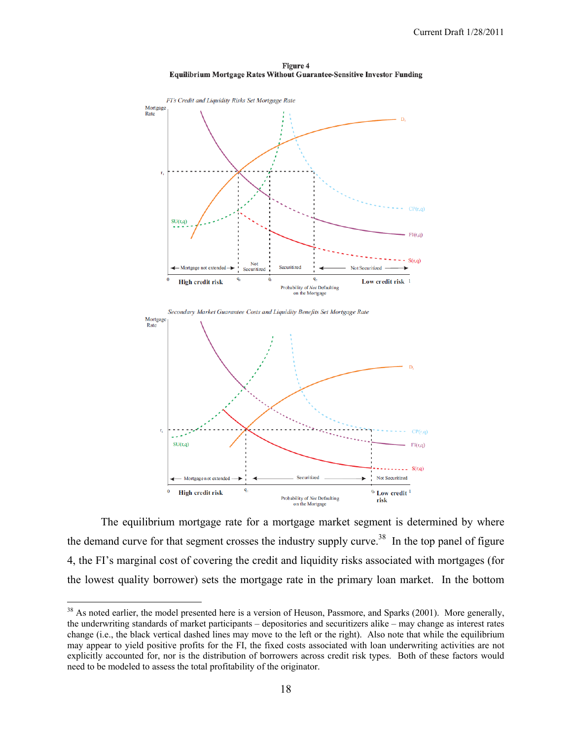

Figure 4 **Equilibrium Mortgage Rates Without Guarantee-Sensitive Investor Funding** 



The equilibrium mortgage rate for a mortgage market segment is determined by where the demand curve for that segment crosses the industry supply curve.<sup>38</sup> In the top panel of figure 4, the FI's marginal cost of covering the credit and liquidity risks associated with mortgages (for the lowest quality borrower) sets the mortgage rate in the primary loan market. In the bottom

1

 $38$  As noted earlier, the model presented here is a version of Heuson, Passmore, and Sparks (2001). More generally, the underwriting standards of market participants – depositories and securitizers alike – may change as interest rates change (i.e., the black vertical dashed lines may move to the left or the right). Also note that while the equilibrium may appear to yield positive profits for the FI, the fixed costs associated with loan underwriting activities are not explicitly accounted for, nor is the distribution of borrowers across credit risk types. Both of these factors would need to be modeled to assess the total profitability of the originator.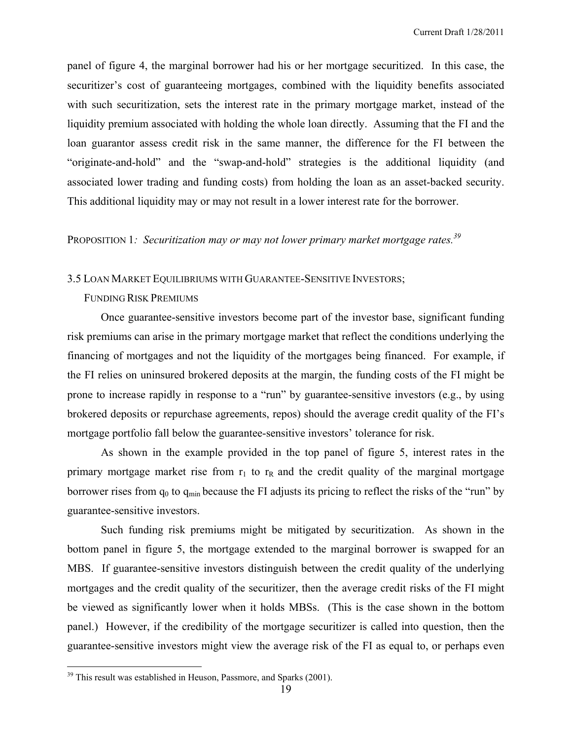panel of figure 4, the marginal borrower had his or her mortgage securitized. In this case, the securitizer's cost of guaranteeing mortgages, combined with the liquidity benefits associated with such securitization, sets the interest rate in the primary mortgage market, instead of the liquidity premium associated with holding the whole loan directly. Assuming that the FI and the loan guarantor assess credit risk in the same manner, the difference for the FI between the "originate-and-hold" and the "swap-and-hold" strategies is the additional liquidity (and associated lower trading and funding costs) from holding the loan as an asset-backed security. This additional liquidity may or may not result in a lower interest rate for the borrower.

## PROPOSITION 1: Securitization may or may not lower primary market mortgage rates.<sup>39</sup>

#### 3.5 LOAN MARKET EQUILIBRIUMS WITH GUARANTEE-SENSITIVE INVESTORS;

#### FUNDING RISK PREMIUMS

 Once guarantee-sensitive investors become part of the investor base, significant funding risk premiums can arise in the primary mortgage market that reflect the conditions underlying the financing of mortgages and not the liquidity of the mortgages being financed. For example, if the FI relies on uninsured brokered deposits at the margin, the funding costs of the FI might be prone to increase rapidly in response to a "run" by guarantee-sensitive investors (e.g., by using brokered deposits or repurchase agreements, repos) should the average credit quality of the FI's mortgage portfolio fall below the guarantee-sensitive investors' tolerance for risk.

As shown in the example provided in the top panel of figure 5, interest rates in the primary mortgage market rise from  $r_1$  to  $r_R$  and the credit quality of the marginal mortgage borrower rises from  $q_0$  to  $q_{min}$  because the FI adjusts its pricing to reflect the risks of the "run" by guarantee-sensitive investors.

 Such funding risk premiums might be mitigated by securitization. As shown in the bottom panel in figure 5, the mortgage extended to the marginal borrower is swapped for an MBS. If guarantee-sensitive investors distinguish between the credit quality of the underlying mortgages and the credit quality of the securitizer, then the average credit risks of the FI might be viewed as significantly lower when it holds MBSs. (This is the case shown in the bottom panel.) However, if the credibility of the mortgage securitizer is called into question, then the guarantee-sensitive investors might view the average risk of the FI as equal to, or perhaps even

 $39$  This result was established in Heuson, Passmore, and Sparks (2001).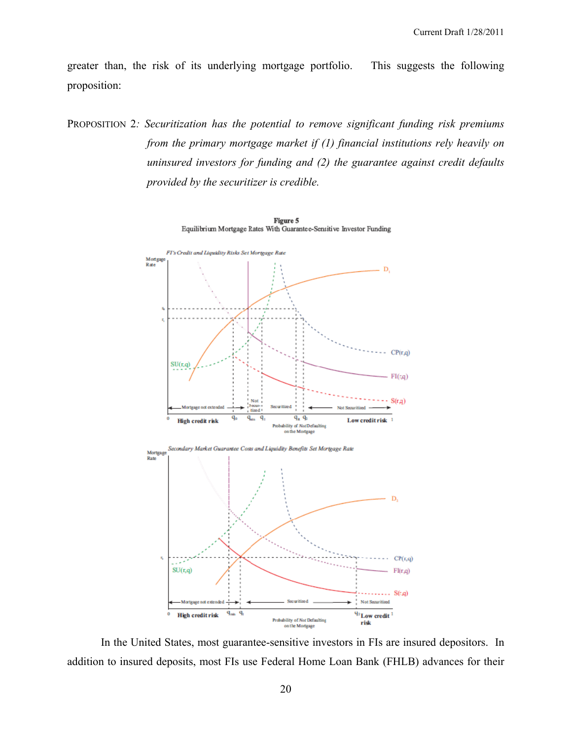greater than, the risk of its underlying mortgage portfolio. This suggests the following proposition:

PROPOSITION 2*: Securitization has the potential to remove significant funding risk premiums from the primary mortgage market if (1) financial institutions rely heavily on uninsured investors for funding and (2) the guarantee against credit defaults provided by the securitizer is credible.* 



 In the United States, most guarantee-sensitive investors in FIs are insured depositors. In addition to insured deposits, most FIs use Federal Home Loan Bank (FHLB) advances for their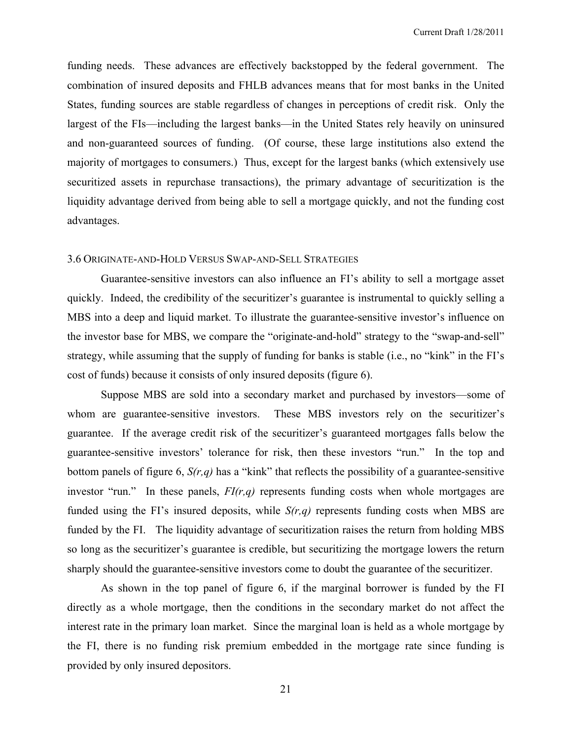Current Draft 1/28/2011

funding needs. These advances are effectively backstopped by the federal government. The combination of insured deposits and FHLB advances means that for most banks in the United States, funding sources are stable regardless of changes in perceptions of credit risk. Only the largest of the FIs—including the largest banks—in the United States rely heavily on uninsured and non-guaranteed sources of funding. (Of course, these large institutions also extend the majority of mortgages to consumers.) Thus, except for the largest banks (which extensively use securitized assets in repurchase transactions), the primary advantage of securitization is the liquidity advantage derived from being able to sell a mortgage quickly, and not the funding cost advantages.

#### 3.6 ORIGINATE-AND-HOLD VERSUS SWAP-AND-SELL STRATEGIES

Guarantee-sensitive investors can also influence an FI's ability to sell a mortgage asset quickly. Indeed, the credibility of the securitizer's guarantee is instrumental to quickly selling a MBS into a deep and liquid market. To illustrate the guarantee-sensitive investor's influence on the investor base for MBS, we compare the "originate-and-hold" strategy to the "swap-and-sell" strategy, while assuming that the supply of funding for banks is stable (i.e., no "kink" in the FI's cost of funds) because it consists of only insured deposits (figure 6).

Suppose MBS are sold into a secondary market and purchased by investors—some of whom are guarantee-sensitive investors. These MBS investors rely on the securitizer's guarantee. If the average credit risk of the securitizer's guaranteed mortgages falls below the guarantee-sensitive investors' tolerance for risk, then these investors "run." In the top and bottom panels of figure 6, *S(r,q)* has a "kink" that reflects the possibility of a guarantee-sensitive investor "run." In these panels, *FI(r,q)* represents funding costs when whole mortgages are funded using the FI's insured deposits, while *S(r,q)* represents funding costs when MBS are funded by the FI. The liquidity advantage of securitization raises the return from holding MBS so long as the securitizer's guarantee is credible, but securitizing the mortgage lowers the return sharply should the guarantee-sensitive investors come to doubt the guarantee of the securitizer.

As shown in the top panel of figure 6, if the marginal borrower is funded by the FI directly as a whole mortgage, then the conditions in the secondary market do not affect the interest rate in the primary loan market. Since the marginal loan is held as a whole mortgage by the FI, there is no funding risk premium embedded in the mortgage rate since funding is provided by only insured depositors.

21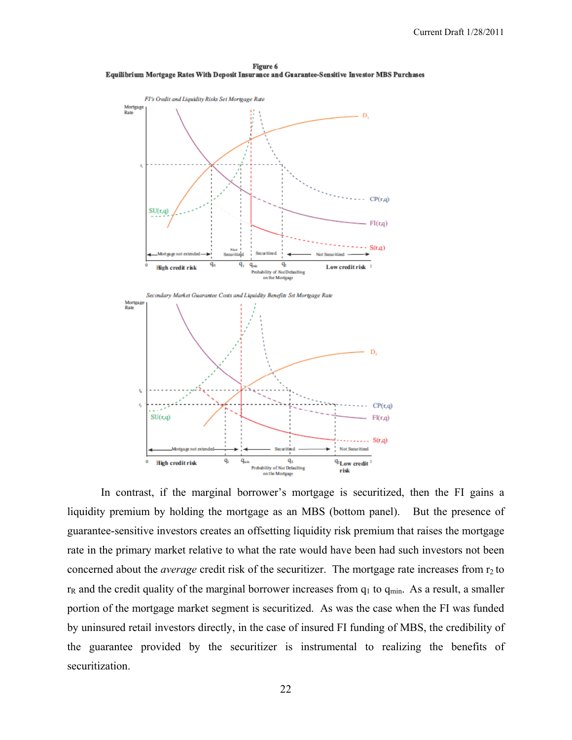



In contrast, if the marginal borrower's mortgage is securitized, then the FI gains a liquidity premium by holding the mortgage as an MBS (bottom panel). But the presence of guarantee-sensitive investors creates an offsetting liquidity risk premium that raises the mortgage rate in the primary market relative to what the rate would have been had such investors not been concerned about the *average* credit risk of the securitizer. The mortgage rate increases from r<sub>2</sub> to  $r_R$  and the credit quality of the marginal borrower increases from  $q_1$  to  $q_{min}$ . As a result, a smaller portion of the mortgage market segment is securitized. As was the case when the FI was funded by uninsured retail investors directly, in the case of insured FI funding of MBS, the credibility of the guarantee provided by the securitizer is instrumental to realizing the benefits of securitization.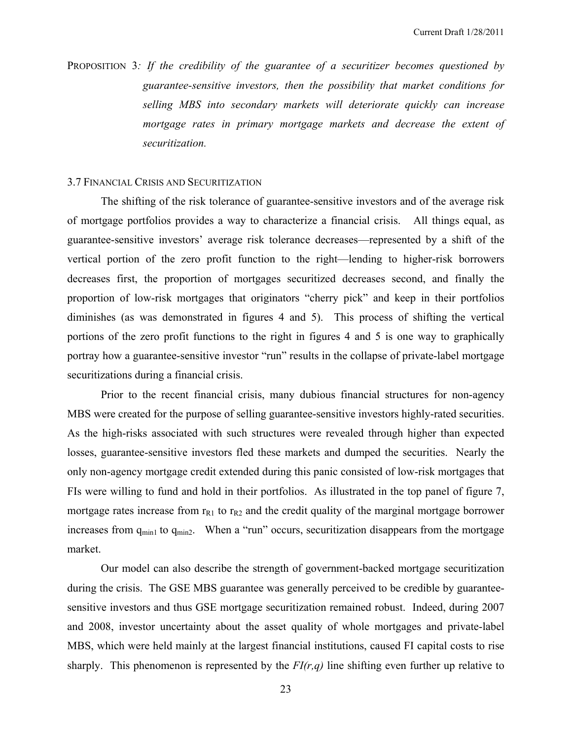PROPOSITION 3*: If the credibility of the guarantee of a securitizer becomes questioned by guarantee-sensitive investors, then the possibility that market conditions for selling MBS into secondary markets will deteriorate quickly can increase mortgage rates in primary mortgage markets and decrease the extent of securitization.* 

## 3.7 FINANCIAL CRISIS AND SECURITIZATION

The shifting of the risk tolerance of guarantee-sensitive investors and of the average risk of mortgage portfolios provides a way to characterize a financial crisis. All things equal, as guarantee-sensitive investors' average risk tolerance decreases—represented by a shift of the vertical portion of the zero profit function to the right—lending to higher-risk borrowers decreases first, the proportion of mortgages securitized decreases second, and finally the proportion of low-risk mortgages that originators "cherry pick" and keep in their portfolios diminishes (as was demonstrated in figures 4 and 5). This process of shifting the vertical portions of the zero profit functions to the right in figures 4 and 5 is one way to graphically portray how a guarantee-sensitive investor "run" results in the collapse of private-label mortgage securitizations during a financial crisis.

Prior to the recent financial crisis, many dubious financial structures for non-agency MBS were created for the purpose of selling guarantee-sensitive investors highly-rated securities. As the high-risks associated with such structures were revealed through higher than expected losses, guarantee-sensitive investors fled these markets and dumped the securities. Nearly the only non-agency mortgage credit extended during this panic consisted of low-risk mortgages that FIs were willing to fund and hold in their portfolios. As illustrated in the top panel of figure 7, mortgage rates increase from  $r_{R1}$  to  $r_{R2}$  and the credit quality of the marginal mortgage borrower increases from  $q_{min1}$  to  $q_{min2}$ . When a "run" occurs, securitization disappears from the mortgage market.

Our model can also describe the strength of government-backed mortgage securitization during the crisis. The GSE MBS guarantee was generally perceived to be credible by guaranteesensitive investors and thus GSE mortgage securitization remained robust. Indeed, during 2007 and 2008, investor uncertainty about the asset quality of whole mortgages and private-label MBS, which were held mainly at the largest financial institutions, caused FI capital costs to rise sharply. This phenomenon is represented by the  $FI(r,q)$  line shifting even further up relative to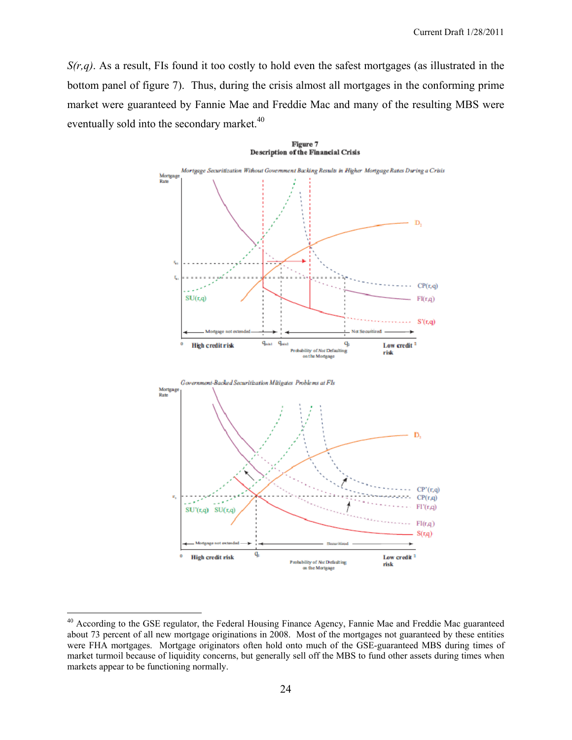*S(r,q)*. As a result, FIs found it too costly to hold even the safest mortgages (as illustrated in the bottom panel of figure 7). Thus, during the crisis almost all mortgages in the conforming prime market were guaranteed by Fannie Mae and Freddie Mac and many of the resulting MBS were eventually sold into the secondary market.<sup>40</sup>



<sup>&</sup>lt;sup>40</sup> According to the GSE regulator, the Federal Housing Finance Agency, Fannie Mae and Freddie Mac guaranteed about 73 percent of all new mortgage originations in 2008. Most of the mortgages not guaranteed by these entities were FHA mortgages. Mortgage originators often hold onto much of the GSE-guaranteed MBS during times of market turmoil because of liquidity concerns, but generally sell off the MBS to fund other assets during times when markets appear to be functioning normally.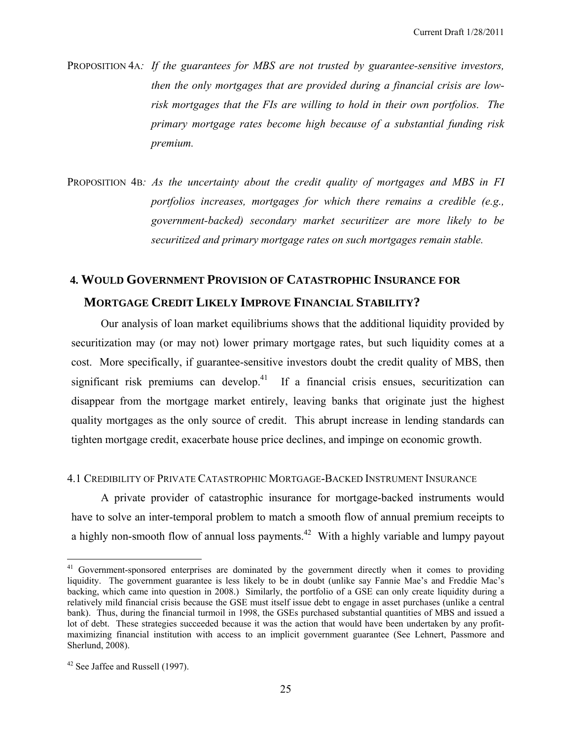PROPOSITION 4A: If the guarantees for MBS are not trusted by guarantee-sensitive investors, *then the only mortgages that are provided during a financial crisis are lowrisk mortgages that the FIs are willing to hold in their own portfolios. The primary mortgage rates become high because of a substantial funding risk premium.* 

PROPOSITION 4B*: As the uncertainty about the credit quality of mortgages and MBS in FI portfolios increases, mortgages for which there remains a credible (e.g., government-backed) secondary market securitizer are more likely to be securitized and primary mortgage rates on such mortgages remain stable.* 

# **4. WOULD GOVERNMENT PROVISION OF CATASTROPHIC INSURANCE FOR MORTGAGE CREDIT LIKELY IMPROVE FINANCIAL STABILITY?**

Our analysis of loan market equilibriums shows that the additional liquidity provided by securitization may (or may not) lower primary mortgage rates, but such liquidity comes at a cost. More specifically, if guarantee-sensitive investors doubt the credit quality of MBS, then significant risk premiums can develop.<sup>41</sup> If a financial crisis ensues, securitization can disappear from the mortgage market entirely, leaving banks that originate just the highest quality mortgages as the only source of credit. This abrupt increase in lending standards can tighten mortgage credit, exacerbate house price declines, and impinge on economic growth.

## 4.1 CREDIBILITY OF PRIVATE CATASTROPHIC MORTGAGE-BACKED INSTRUMENT INSURANCE

A private provider of catastrophic insurance for mortgage-backed instruments would have to solve an inter-temporal problem to match a smooth flow of annual premium receipts to a highly non-smooth flow of annual loss payments.<sup>42</sup> With a highly variable and lumpy payout

<sup>&</sup>lt;sup>41</sup> Government-sponsored enterprises are dominated by the government directly when it comes to providing liquidity. The government guarantee is less likely to be in doubt (unlike say Fannie Mae's and Freddie Mac's backing, which came into question in 2008.) Similarly, the portfolio of a GSE can only create liquidity during a relatively mild financial crisis because the GSE must itself issue debt to engage in asset purchases (unlike a central bank). Thus, during the financial turmoil in 1998, the GSEs purchased substantial quantities of MBS and issued a lot of debt. These strategies succeeded because it was the action that would have been undertaken by any profitmaximizing financial institution with access to an implicit government guarantee (See Lehnert, Passmore and Sherlund, 2008).

<sup>42</sup> See Jaffee and Russell (1997).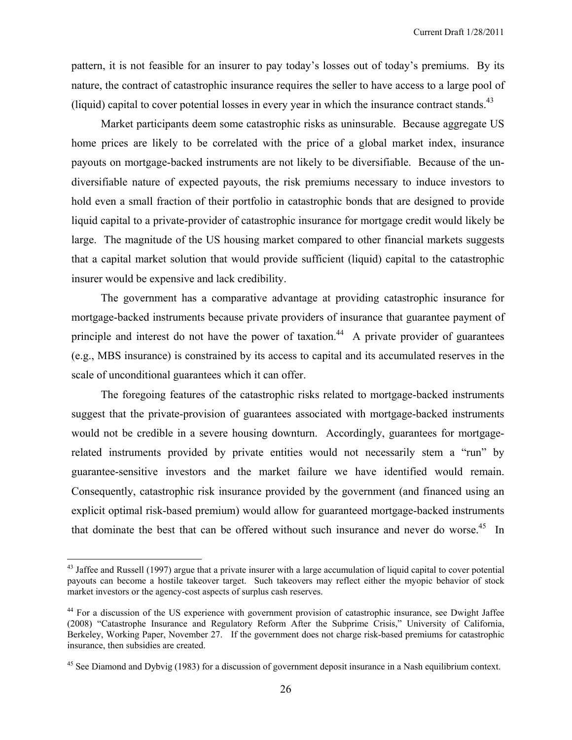pattern, it is not feasible for an insurer to pay today's losses out of today's premiums. By its nature, the contract of catastrophic insurance requires the seller to have access to a large pool of (liquid) capital to cover potential losses in every year in which the insurance contract stands.<sup>43</sup>

Market participants deem some catastrophic risks as uninsurable. Because aggregate US home prices are likely to be correlated with the price of a global market index, insurance payouts on mortgage-backed instruments are not likely to be diversifiable. Because of the undiversifiable nature of expected payouts, the risk premiums necessary to induce investors to hold even a small fraction of their portfolio in catastrophic bonds that are designed to provide liquid capital to a private-provider of catastrophic insurance for mortgage credit would likely be large. The magnitude of the US housing market compared to other financial markets suggests that a capital market solution that would provide sufficient (liquid) capital to the catastrophic insurer would be expensive and lack credibility.

The government has a comparative advantage at providing catastrophic insurance for mortgage-backed instruments because private providers of insurance that guarantee payment of principle and interest do not have the power of taxation.<sup>44</sup> A private provider of guarantees (e.g., MBS insurance) is constrained by its access to capital and its accumulated reserves in the scale of unconditional guarantees which it can offer.

The foregoing features of the catastrophic risks related to mortgage-backed instruments suggest that the private-provision of guarantees associated with mortgage-backed instruments would not be credible in a severe housing downturn. Accordingly, guarantees for mortgagerelated instruments provided by private entities would not necessarily stem a "run" by guarantee-sensitive investors and the market failure we have identified would remain. Consequently, catastrophic risk insurance provided by the government (and financed using an explicit optimal risk-based premium) would allow for guaranteed mortgage-backed instruments that dominate the best that can be offered without such insurance and never do worse.<sup>45</sup> In

<u>.</u>

 $43$  Jaffee and Russell (1997) argue that a private insurer with a large accumulation of liquid capital to cover potential payouts can become a hostile takeover target. Such takeovers may reflect either the myopic behavior of stock market investors or the agency-cost aspects of surplus cash reserves.

<sup>&</sup>lt;sup>44</sup> For a discussion of the US experience with government provision of catastrophic insurance, see Dwight Jaffee (2008) "Catastrophe Insurance and Regulatory Reform After the Subprime Crisis," University of California, Berkeley, Working Paper, November 27. If the government does not charge risk-based premiums for catastrophic insurance, then subsidies are created.

<sup>&</sup>lt;sup>45</sup> See Diamond and Dybvig (1983) for a discussion of government deposit insurance in a Nash equilibrium context.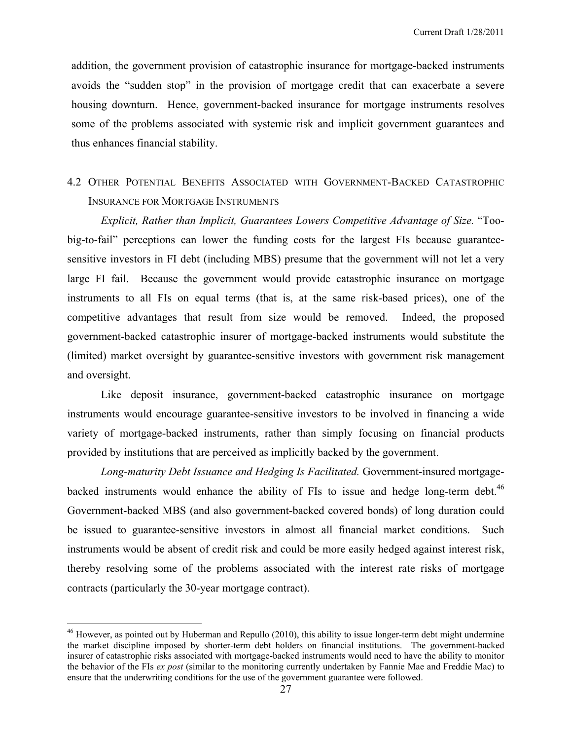addition, the government provision of catastrophic insurance for mortgage-backed instruments avoids the "sudden stop" in the provision of mortgage credit that can exacerbate a severe housing downturn. Hence, government-backed insurance for mortgage instruments resolves some of the problems associated with systemic risk and implicit government guarantees and thus enhances financial stability.

## 4.2 OTHER POTENTIAL BENEFITS ASSOCIATED WITH GOVERNMENT-BACKED CATASTROPHIC INSURANCE FOR MORTGAGE INSTRUMENTS

 *Explicit, Rather than Implicit, Guarantees Lowers Competitive Advantage of Size.* "Toobig-to-fail" perceptions can lower the funding costs for the largest FIs because guaranteesensitive investors in FI debt (including MBS) presume that the government will not let a very large FI fail. Because the government would provide catastrophic insurance on mortgage instruments to all FIs on equal terms (that is, at the same risk-based prices), one of the competitive advantages that result from size would be removed. Indeed, the proposed government-backed catastrophic insurer of mortgage-backed instruments would substitute the (limited) market oversight by guarantee-sensitive investors with government risk management and oversight.

 Like deposit insurance, government-backed catastrophic insurance on mortgage instruments would encourage guarantee-sensitive investors to be involved in financing a wide variety of mortgage-backed instruments, rather than simply focusing on financial products provided by institutions that are perceived as implicitly backed by the government.

*Long-maturity Debt Issuance and Hedging Is Facilitated.* Government-insured mortgagebacked instruments would enhance the ability of FIs to issue and hedge long-term debt.<sup>46</sup> Government-backed MBS (and also government-backed covered bonds) of long duration could be issued to guarantee-sensitive investors in almost all financial market conditions. Such instruments would be absent of credit risk and could be more easily hedged against interest risk, thereby resolving some of the problems associated with the interest rate risks of mortgage contracts (particularly the 30-year mortgage contract).

<u>.</u>

<sup>&</sup>lt;sup>46</sup> However, as pointed out by Huberman and Repullo (2010), this ability to issue longer-term debt might undermine the market discipline imposed by shorter-term debt holders on financial institutions. The government-backed insurer of catastrophic risks associated with mortgage-backed instruments would need to have the ability to monitor the behavior of the FIs *ex post* (similar to the monitoring currently undertaken by Fannie Mae and Freddie Mac) to ensure that the underwriting conditions for the use of the government guarantee were followed.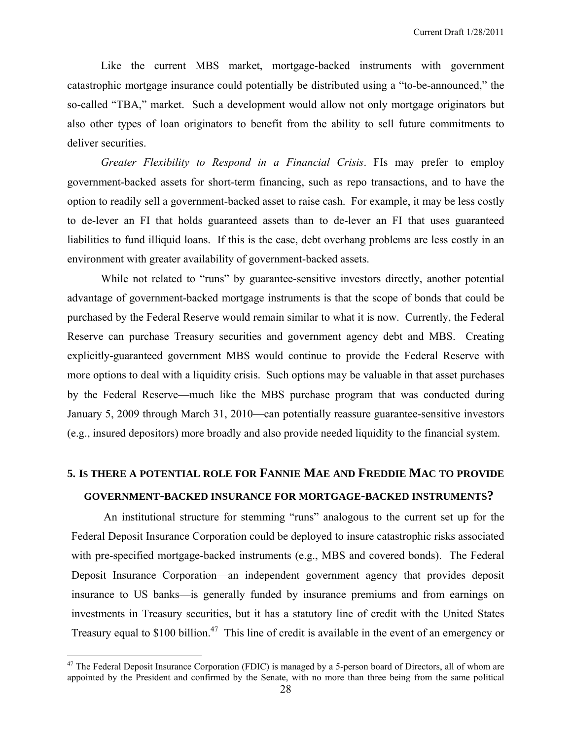Like the current MBS market, mortgage-backed instruments with government catastrophic mortgage insurance could potentially be distributed using a "to-be-announced," the so-called "TBA," market. Such a development would allow not only mortgage originators but also other types of loan originators to benefit from the ability to sell future commitments to deliver securities.

*Greater Flexibility to Respond in a Financial Crisis*. FIs may prefer to employ government-backed assets for short-term financing, such as repo transactions, and to have the option to readily sell a government-backed asset to raise cash. For example, it may be less costly to de-lever an FI that holds guaranteed assets than to de-lever an FI that uses guaranteed liabilities to fund illiquid loans. If this is the case, debt overhang problems are less costly in an environment with greater availability of government-backed assets.

While not related to "runs" by guarantee-sensitive investors directly, another potential advantage of government-backed mortgage instruments is that the scope of bonds that could be purchased by the Federal Reserve would remain similar to what it is now. Currently, the Federal Reserve can purchase Treasury securities and government agency debt and MBS. Creating explicitly-guaranteed government MBS would continue to provide the Federal Reserve with more options to deal with a liquidity crisis. Such options may be valuable in that asset purchases by the Federal Reserve—much like the MBS purchase program that was conducted during January 5, 2009 through March 31, 2010—can potentially reassure guarantee-sensitive investors (e.g., insured depositors) more broadly and also provide needed liquidity to the financial system.

## **5. IS THERE A POTENTIAL ROLE FOR FANNIE MAE AND FREDDIE MAC TO PROVIDE**

### **GOVERNMENT-BACKED INSURANCE FOR MORTGAGE-BACKED INSTRUMENTS?**

 An institutional structure for stemming "runs" analogous to the current set up for the Federal Deposit Insurance Corporation could be deployed to insure catastrophic risks associated with pre-specified mortgage-backed instruments (e.g., MBS and covered bonds). The Federal Deposit Insurance Corporation—an independent government agency that provides deposit insurance to US banks—is generally funded by insurance premiums and from earnings on investments in Treasury securities, but it has a statutory line of credit with the United States Treasury equal to  $$100$  billion.<sup>47</sup> This line of credit is available in the event of an emergency or

<sup>&</sup>lt;sup>47</sup> The Federal Deposit Insurance Corporation (FDIC) is managed by a 5-person board of Directors, all of whom are appointed by the President and confirmed by the Senate, with no more than three being from the same political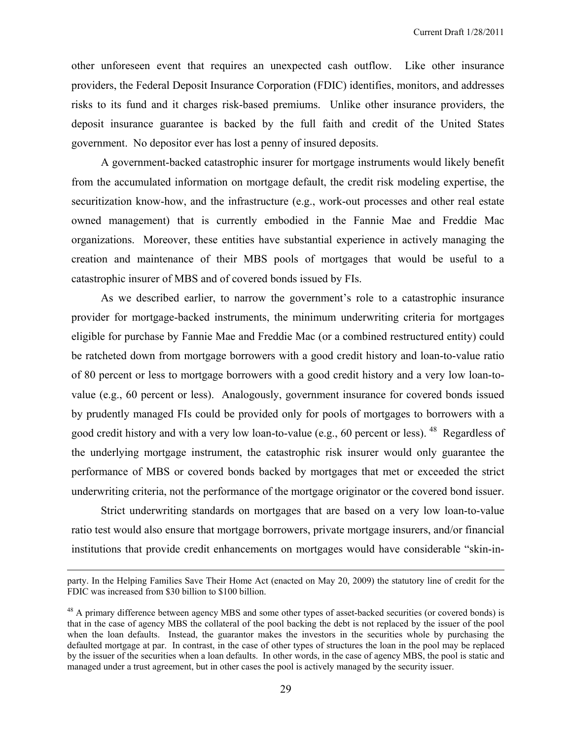other unforeseen event that requires an unexpected cash outflow. Like other insurance providers, the Federal Deposit Insurance Corporation (FDIC) identifies, monitors, and addresses risks to its fund and it charges risk-based premiums. Unlike other insurance providers, the deposit insurance guarantee is backed by the full faith and credit of the United States government. No depositor ever has lost a penny of insured deposits.

A government-backed catastrophic insurer for mortgage instruments would likely benefit from the accumulated information on mortgage default, the credit risk modeling expertise, the securitization know-how, and the infrastructure (e.g., work-out processes and other real estate owned management) that is currently embodied in the Fannie Mae and Freddie Mac organizations. Moreover, these entities have substantial experience in actively managing the creation and maintenance of their MBS pools of mortgages that would be useful to a catastrophic insurer of MBS and of covered bonds issued by FIs.

As we described earlier, to narrow the government's role to a catastrophic insurance provider for mortgage-backed instruments, the minimum underwriting criteria for mortgages eligible for purchase by Fannie Mae and Freddie Mac (or a combined restructured entity) could be ratcheted down from mortgage borrowers with a good credit history and loan-to-value ratio of 80 percent or less to mortgage borrowers with a good credit history and a very low loan-tovalue (e.g., 60 percent or less). Analogously, government insurance for covered bonds issued by prudently managed FIs could be provided only for pools of mortgages to borrowers with a good credit history and with a very low loan-to-value (e.g., 60 percent or less). <sup>48</sup> Regardless of the underlying mortgage instrument, the catastrophic risk insurer would only guarantee the performance of MBS or covered bonds backed by mortgages that met or exceeded the strict underwriting criteria, not the performance of the mortgage originator or the covered bond issuer.

Strict underwriting standards on mortgages that are based on a very low loan-to-value ratio test would also ensure that mortgage borrowers, private mortgage insurers, and/or financial institutions that provide credit enhancements on mortgages would have considerable "skin-in-

party. In the Helping Families Save Their Home Act (enacted on May 20, 2009) the statutory line of credit for the FDIC was increased from \$30 billion to \$100 billion.

<sup>&</sup>lt;sup>48</sup> A primary difference between agency MBS and some other types of asset-backed securities (or covered bonds) is that in the case of agency MBS the collateral of the pool backing the debt is not replaced by the issuer of the pool when the loan defaults. Instead, the guarantor makes the investors in the securities whole by purchasing the defaulted mortgage at par. In contrast, in the case of other types of structures the loan in the pool may be replaced by the issuer of the securities when a loan defaults. In other words, in the case of agency MBS, the pool is static and managed under a trust agreement, but in other cases the pool is actively managed by the security issuer.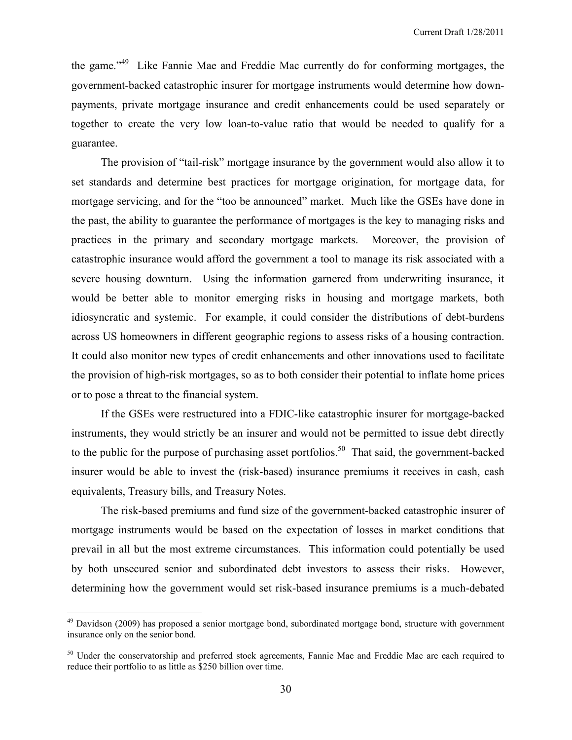the game."49 Like Fannie Mae and Freddie Mac currently do for conforming mortgages, the government-backed catastrophic insurer for mortgage instruments would determine how downpayments, private mortgage insurance and credit enhancements could be used separately or together to create the very low loan-to-value ratio that would be needed to qualify for a guarantee.

The provision of "tail-risk" mortgage insurance by the government would also allow it to set standards and determine best practices for mortgage origination, for mortgage data, for mortgage servicing, and for the "too be announced" market. Much like the GSEs have done in the past, the ability to guarantee the performance of mortgages is the key to managing risks and practices in the primary and secondary mortgage markets. Moreover, the provision of catastrophic insurance would afford the government a tool to manage its risk associated with a severe housing downturn. Using the information garnered from underwriting insurance, it would be better able to monitor emerging risks in housing and mortgage markets, both idiosyncratic and systemic. For example, it could consider the distributions of debt-burdens across US homeowners in different geographic regions to assess risks of a housing contraction. It could also monitor new types of credit enhancements and other innovations used to facilitate the provision of high-risk mortgages, so as to both consider their potential to inflate home prices or to pose a threat to the financial system.

If the GSEs were restructured into a FDIC-like catastrophic insurer for mortgage-backed instruments, they would strictly be an insurer and would not be permitted to issue debt directly to the public for the purpose of purchasing asset portfolios.<sup>50</sup> That said, the government-backed insurer would be able to invest the (risk-based) insurance premiums it receives in cash, cash equivalents, Treasury bills, and Treasury Notes.

The risk-based premiums and fund size of the government-backed catastrophic insurer of mortgage instruments would be based on the expectation of losses in market conditions that prevail in all but the most extreme circumstances. This information could potentially be used by both unsecured senior and subordinated debt investors to assess their risks. However, determining how the government would set risk-based insurance premiums is a much-debated

<sup>&</sup>lt;sup>49</sup> Davidson (2009) has proposed a senior mortgage bond, subordinated mortgage bond, structure with government insurance only on the senior bond.

<sup>&</sup>lt;sup>50</sup> Under the conservatorship and preferred stock agreements, Fannie Mae and Freddie Mac are each required to reduce their portfolio to as little as \$250 billion over time.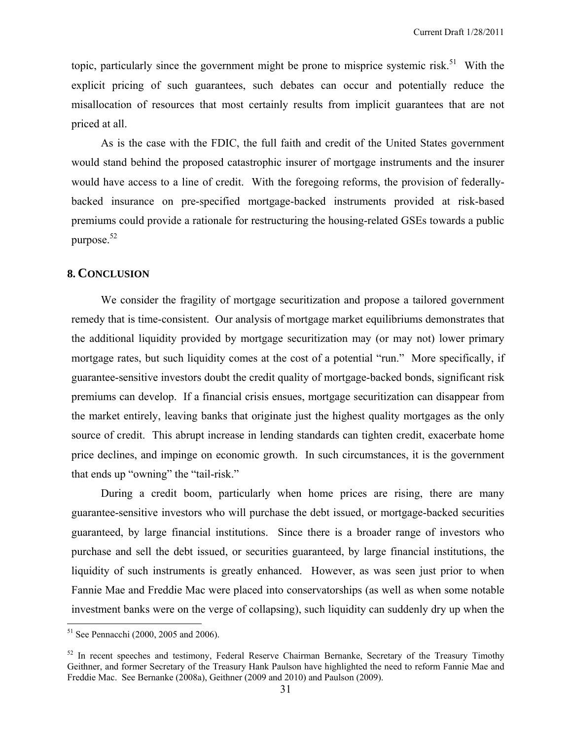topic, particularly since the government might be prone to misprice systemic risk.<sup>51</sup> With the explicit pricing of such guarantees, such debates can occur and potentially reduce the misallocation of resources that most certainly results from implicit guarantees that are not priced at all.

As is the case with the FDIC, the full faith and credit of the United States government would stand behind the proposed catastrophic insurer of mortgage instruments and the insurer would have access to a line of credit. With the foregoing reforms, the provision of federallybacked insurance on pre-specified mortgage-backed instruments provided at risk-based premiums could provide a rationale for restructuring the housing-related GSEs towards a public purpose.52

## **8. CONCLUSION**

We consider the fragility of mortgage securitization and propose a tailored government remedy that is time-consistent. Our analysis of mortgage market equilibriums demonstrates that the additional liquidity provided by mortgage securitization may (or may not) lower primary mortgage rates, but such liquidity comes at the cost of a potential "run." More specifically, if guarantee-sensitive investors doubt the credit quality of mortgage-backed bonds, significant risk premiums can develop. If a financial crisis ensues, mortgage securitization can disappear from the market entirely, leaving banks that originate just the highest quality mortgages as the only source of credit. This abrupt increase in lending standards can tighten credit, exacerbate home price declines, and impinge on economic growth. In such circumstances, it is the government that ends up "owning" the "tail-risk."

During a credit boom, particularly when home prices are rising, there are many guarantee-sensitive investors who will purchase the debt issued, or mortgage-backed securities guaranteed, by large financial institutions. Since there is a broader range of investors who purchase and sell the debt issued, or securities guaranteed, by large financial institutions, the liquidity of such instruments is greatly enhanced. However, as was seen just prior to when Fannie Mae and Freddie Mac were placed into conservatorships (as well as when some notable investment banks were on the verge of collapsing), such liquidity can suddenly dry up when the

<sup>&</sup>lt;sup>51</sup> See Pennacchi (2000, 2005 and 2006).

<sup>&</sup>lt;sup>52</sup> In recent speeches and testimony, Federal Reserve Chairman Bernanke, Secretary of the Treasury Timothy Geithner, and former Secretary of the Treasury Hank Paulson have highlighted the need to reform Fannie Mae and Freddie Mac. See Bernanke (2008a), Geithner (2009 and 2010) and Paulson (2009).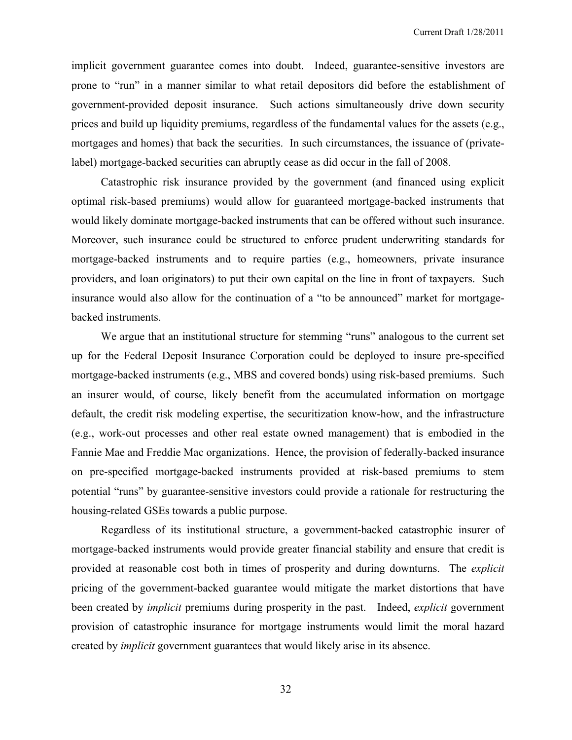implicit government guarantee comes into doubt. Indeed, guarantee-sensitive investors are prone to "run" in a manner similar to what retail depositors did before the establishment of government-provided deposit insurance. Such actions simultaneously drive down security prices and build up liquidity premiums, regardless of the fundamental values for the assets (e.g., mortgages and homes) that back the securities. In such circumstances, the issuance of (privatelabel) mortgage-backed securities can abruptly cease as did occur in the fall of 2008.

Catastrophic risk insurance provided by the government (and financed using explicit optimal risk-based premiums) would allow for guaranteed mortgage-backed instruments that would likely dominate mortgage-backed instruments that can be offered without such insurance. Moreover, such insurance could be structured to enforce prudent underwriting standards for mortgage-backed instruments and to require parties (e.g., homeowners, private insurance providers, and loan originators) to put their own capital on the line in front of taxpayers. Such insurance would also allow for the continuation of a "to be announced" market for mortgagebacked instruments.

We argue that an institutional structure for stemming "runs" analogous to the current set up for the Federal Deposit Insurance Corporation could be deployed to insure pre-specified mortgage-backed instruments (e.g., MBS and covered bonds) using risk-based premiums. Such an insurer would, of course, likely benefit from the accumulated information on mortgage default, the credit risk modeling expertise, the securitization know-how, and the infrastructure (e.g., work-out processes and other real estate owned management) that is embodied in the Fannie Mae and Freddie Mac organizations. Hence, the provision of federally-backed insurance on pre-specified mortgage-backed instruments provided at risk-based premiums to stem potential "runs" by guarantee-sensitive investors could provide a rationale for restructuring the housing-related GSEs towards a public purpose.

Regardless of its institutional structure, a government-backed catastrophic insurer of mortgage-backed instruments would provide greater financial stability and ensure that credit is provided at reasonable cost both in times of prosperity and during downturns. The *explicit* pricing of the government-backed guarantee would mitigate the market distortions that have been created by *implicit* premiums during prosperity in the past. Indeed, *explicit* government provision of catastrophic insurance for mortgage instruments would limit the moral hazard created by *implicit* government guarantees that would likely arise in its absence.

32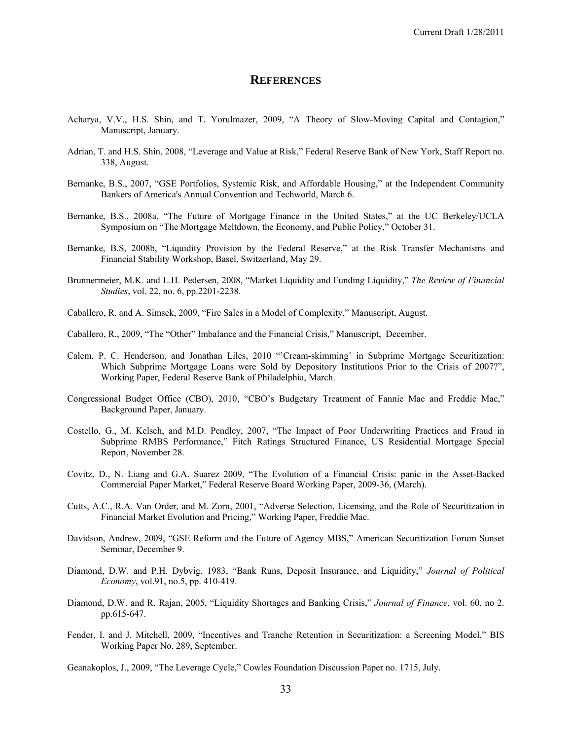#### **REFERENCES**

- Acharya, V.V., H.S. Shin, and T. Yorulmazer, 2009, "A Theory of Slow-Moving Capital and Contagion," Manuscript, January.
- Adrian, T. and H.S. Shin, 2008, "Leverage and Value at Risk," Federal Reserve Bank of New York, Staff Report no. 338, August.
- Bernanke, B.S., 2007, "GSE Portfolios, Systemic Risk, and Affordable Housing," at the Independent Community Bankers of America's Annual Convention and Techworld, March 6.
- Bernanke, B.S., 2008a, "The Future of Mortgage Finance in the United States," at the UC Berkeley/UCLA Symposium on "The Mortgage Meltdown, the Economy, and Public Policy," October 31.
- Bernanke, B.S, 2008b, "Liquidity Provision by the Federal Reserve," at the Risk Transfer Mechanisms and Financial Stability Workshop, Basel, Switzerland, May 29.
- Brunnermeier, M.K. and L.H. Pedersen, 2008, "Market Liquidity and Funding Liquidity," *The Review of Financial Studies*, vol. 22, no. 6, pp.2201-2238.
- Caballero, R. and A. Simsek, 2009, "Fire Sales in a Model of Complexity," Manuscript, August.
- Caballero, R., 2009, "The "Other" Imbalance and the Financial Crisis," Manuscript, December.
- Calem, P. C. Henderson, and Jonathan Liles, 2010 "'Cream-skimming' in Subprime Mortgage Securitization: Which Subprime Mortgage Loans were Sold by Depository Institutions Prior to the Crisis of 2007?", Working Paper, Federal Reserve Bank of Philadelphia, March.
- Congressional Budget Office (CBO), 2010, "CBO's Budgetary Treatment of Fannie Mae and Freddie Mac," Background Paper, January.
- Costello, G., M. Kelsch, and M.D. Pendley, 2007, "The Impact of Poor Underwriting Practices and Fraud in Subprime RMBS Performance," Fitch Ratings Structured Finance, US Residential Mortgage Special Report, November 28.
- Covitz, D., N. Liang and G.A. Suarez 2009, "The Evolution of a Financial Crisis: panic in the Asset-Backed Commercial Paper Market," Federal Reserve Board Working Paper, 2009-36, (March).
- Cutts, A.C., R.A. Van Order, and M. Zorn, 2001, "Adverse Selection, Licensing, and the Role of Securitization in Financial Market Evolution and Pricing," Working Paper, Freddie Mac.
- Davidson, Andrew, 2009, "GSE Reform and the Future of Agency MBS," American Securitization Forum Sunset Seminar, December 9.
- Diamond, D.W. and P.H. Dybvig, 1983, "Bank Runs, Deposit Insurance, and Liquidity," *Journal of Political Economy*, vol.91, no.5, pp. 410-419.
- Diamond, D.W. and R. Rajan, 2005, "Liquidity Shortages and Banking Crisis," *Journal of Finance*, vol. 60, no 2. pp.615-647.
- Fender, I. and J. Mitchell, 2009, "Incentives and Tranche Retention in Securitization: a Screening Model," BIS Working Paper No. 289, September.

Geanakoplos, J., 2009, "The Leverage Cycle," Cowles Foundation Discussion Paper no. 1715, July.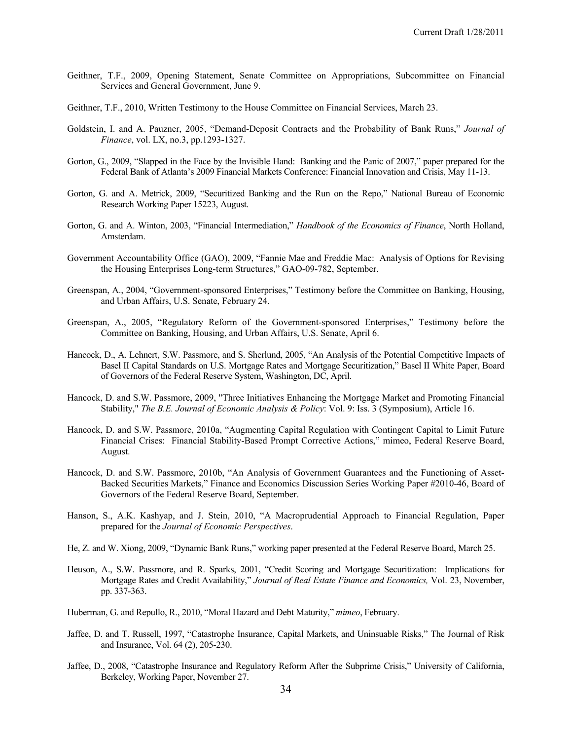- Geithner, T.F., 2009, Opening Statement, Senate Committee on Appropriations, Subcommittee on Financial Services and General Government, June 9.
- Geithner, T.F., 2010, Written Testimony to the House Committee on Financial Services, March 23.
- Goldstein, I. and A. Pauzner, 2005, "Demand-Deposit Contracts and the Probability of Bank Runs," *Journal of Finance*, vol. LX, no.3, pp.1293-1327.
- Gorton, G., 2009, "Slapped in the Face by the Invisible Hand: Banking and the Panic of 2007," paper prepared for the Federal Bank of Atlanta's 2009 Financial Markets Conference: Financial Innovation and Crisis, May 11-13.
- Gorton, G. and A. Metrick, 2009, "Securitized Banking and the Run on the Repo," National Bureau of Economic Research Working Paper 15223, August.
- Gorton, G. and A. Winton, 2003, "Financial Intermediation," *Handbook of the Economics of Finance*, North Holland, Amsterdam.
- Government Accountability Office (GAO), 2009, "Fannie Mae and Freddie Mac: Analysis of Options for Revising the Housing Enterprises Long-term Structures," GAO-09-782, September.
- Greenspan, A., 2004, "Government-sponsored Enterprises," Testimony before the Committee on Banking, Housing, and Urban Affairs, U.S. Senate, February 24.
- Greenspan, A., 2005, "Regulatory Reform of the Government-sponsored Enterprises," Testimony before the Committee on Banking, Housing, and Urban Affairs, U.S. Senate, April 6.
- Hancock, D., A. Lehnert, S.W. Passmore, and S. Sherlund, 2005, "An Analysis of the Potential Competitive Impacts of Basel II Capital Standards on U.S. Mortgage Rates and Mortgage Securitization," Basel II White Paper, Board of Governors of the Federal Reserve System, Washington, DC, April.
- Hancock, D. and S.W. Passmore, 2009, "Three Initiatives Enhancing the Mortgage Market and Promoting Financial Stability," *The B.E. Journal of Economic Analysis & Policy*: Vol. 9: Iss. 3 (Symposium), Article 16.
- Hancock, D. and S.W. Passmore, 2010a, "Augmenting Capital Regulation with Contingent Capital to Limit Future Financial Crises: Financial Stability-Based Prompt Corrective Actions," mimeo, Federal Reserve Board, August.
- Hancock, D. and S.W. Passmore, 2010b, "An Analysis of Government Guarantees and the Functioning of Asset-Backed Securities Markets," Finance and Economics Discussion Series Working Paper #2010-46, Board of Governors of the Federal Reserve Board, September.
- Hanson, S., A.K. Kashyap, and J. Stein, 2010, "A Macroprudential Approach to Financial Regulation, Paper prepared for the *Journal of Economic Perspectives*.
- He, Z. and W. Xiong, 2009, "Dynamic Bank Runs," working paper presented at the Federal Reserve Board, March 25.
- Heuson, A., S.W. Passmore, and R. Sparks, 2001, "Credit Scoring and Mortgage Securitization: Implications for Mortgage Rates and Credit Availability," *Journal of Real Estate Finance and Economics,* Vol. 23, November, pp. 337-363.
- Huberman, G. and Repullo, R., 2010, "Moral Hazard and Debt Maturity," *mimeo*, February.
- Jaffee, D. and T. Russell, 1997, "Catastrophe Insurance, Capital Markets, and Uninsuable Risks," The Journal of Risk and Insurance, Vol. 64 (2), 205-230.
- Jaffee, D., 2008, "Catastrophe Insurance and Regulatory Reform After the Subprime Crisis," University of California, Berkeley, Working Paper, November 27.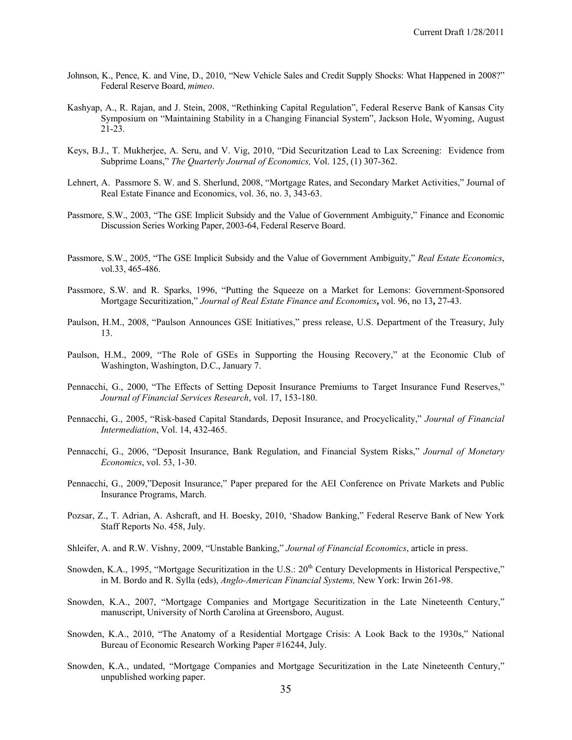- Johnson, K., Pence, K. and Vine, D., 2010, "New Vehicle Sales and Credit Supply Shocks: What Happened in 2008?" Federal Reserve Board, *mimeo*.
- Kashyap, A., R. Rajan, and J. Stein, 2008, "Rethinking Capital Regulation", Federal Reserve Bank of Kansas City Symposium on "Maintaining Stability in a Changing Financial System", Jackson Hole, Wyoming, August 21-23.
- Keys, B.J., T. Mukherjee, A. Seru, and V. Vig, 2010, "Did Securitzation Lead to Lax Screening: Evidence from Subprime Loans," *The Quarterly Journal of Economics,* Vol. 125, (1) 307-362.
- Lehnert, A. Passmore S. W. and S. Sherlund, 2008, "Mortgage Rates, and Secondary Market Activities," Journal of Real Estate Finance and Economics, vol. 36, no. 3, 343-63.
- Passmore, S.W., 2003, "The GSE Implicit Subsidy and the Value of Government Ambiguity," Finance and Economic Discussion Series Working Paper, 2003-64, Federal Reserve Board.
- Passmore, S.W., 2005, "The GSE Implicit Subsidy and the Value of Government Ambiguity," *Real Estate Economics*, vol.33, 465-486.
- Passmore, S.W. and R. Sparks, 1996, "Putting the Squeeze on a Market for Lemons: Government-Sponsored Mortgage Securitization," *Journal of Real Estate Finance and Economics***,** vol. 96, no 13**,** 27-43.
- Paulson, H.M., 2008, "Paulson Announces GSE Initiatives," press release, U.S. Department of the Treasury, July 13.
- Paulson, H.M., 2009, "The Role of GSEs in Supporting the Housing Recovery," at the Economic Club of Washington, Washington, D.C., January 7.
- Pennacchi, G., 2000, "The Effects of Setting Deposit Insurance Premiums to Target Insurance Fund Reserves," *Journal of Financial Services Research*, vol. 17, 153-180.
- Pennacchi, G., 2005, "Risk-based Capital Standards, Deposit Insurance, and Procyclicality," *Journal of Financial Intermediation*, Vol. 14, 432-465.
- Pennacchi, G., 2006, "Deposit Insurance, Bank Regulation, and Financial System Risks," *Journal of Monetary Economics*, vol. 53, 1-30.
- Pennacchi, G., 2009,"Deposit Insurance," Paper prepared for the AEI Conference on Private Markets and Public Insurance Programs, March.
- Pozsar, Z., T. Adrian, A. Ashcraft, and H. Boesky, 2010, 'Shadow Banking," Federal Reserve Bank of New York Staff Reports No. 458, July.
- Shleifer, A. and R.W. Vishny, 2009, "Unstable Banking," *Journal of Financial Economics*, article in press.
- Snowden, K.A., 1995, "Mortgage Securitization in the U.S.: 20<sup>th</sup> Century Developments in Historical Perspective," in M. Bordo and R. Sylla (eds), *Anglo-American Financial Systems,* New York: Irwin 261-98.
- Snowden, K.A., 2007, "Mortgage Companies and Mortgage Securitization in the Late Nineteenth Century," manuscript, University of North Carolina at Greensboro, August.
- Snowden, K.A., 2010, "The Anatomy of a Residential Mortgage Crisis: A Look Back to the 1930s," National Bureau of Economic Research Working Paper #16244, July.
- Snowden, K.A., undated, "Mortgage Companies and Mortgage Securitization in the Late Nineteenth Century," unpublished working paper.